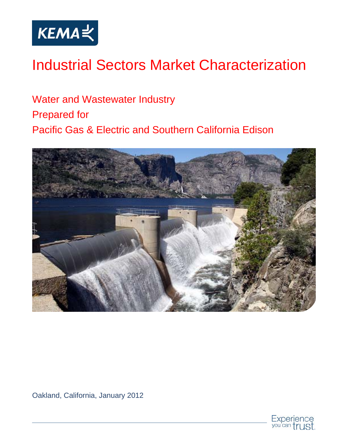

# Industrial Sectors Market Characterization

Water and Wastewater Industry Prepared for Pacific Gas & Electric and Southern California Edison



Oakland, California, January 2012

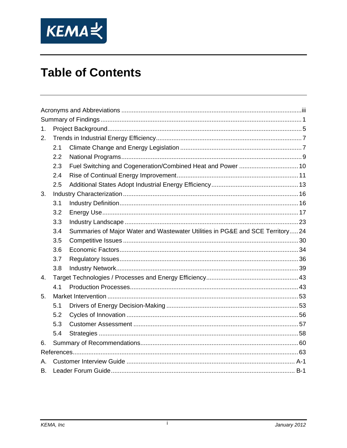

# **Table of Contents**

| 1. |     |                                                                               |  |  |  |
|----|-----|-------------------------------------------------------------------------------|--|--|--|
| 2. |     |                                                                               |  |  |  |
|    | 2.1 |                                                                               |  |  |  |
|    | 2.2 |                                                                               |  |  |  |
|    | 2.3 | Fuel Switching and Cogeneration/Combined Heat and Power  10                   |  |  |  |
|    | 2.4 |                                                                               |  |  |  |
|    | 2.5 |                                                                               |  |  |  |
| 3. |     |                                                                               |  |  |  |
|    | 3.1 |                                                                               |  |  |  |
|    | 3.2 |                                                                               |  |  |  |
|    | 3.3 |                                                                               |  |  |  |
|    | 3.4 | Summaries of Major Water and Wastewater Utilities in PG&E and SCE Territory24 |  |  |  |
|    | 3.5 |                                                                               |  |  |  |
|    | 3.6 |                                                                               |  |  |  |
|    | 3.7 |                                                                               |  |  |  |
|    | 3.8 |                                                                               |  |  |  |
| 4. |     |                                                                               |  |  |  |
|    | 4.1 |                                                                               |  |  |  |
| 5. |     |                                                                               |  |  |  |
|    | 5.1 |                                                                               |  |  |  |
|    | 5.2 |                                                                               |  |  |  |
|    | 5.3 |                                                                               |  |  |  |
|    | 5.4 |                                                                               |  |  |  |
| 6. |     |                                                                               |  |  |  |
|    |     |                                                                               |  |  |  |
| Α. |     |                                                                               |  |  |  |
| В. |     |                                                                               |  |  |  |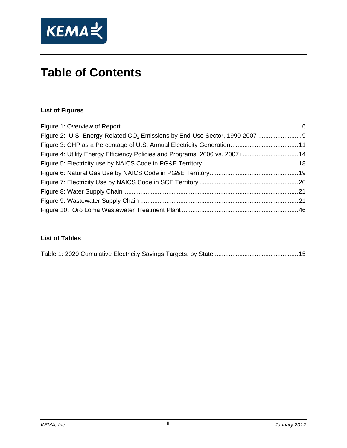

# **Table of Contents**

#### **List of Figures**

| Figure 4: Utility Energy Efficiency Policies and Programs, 2006 vs. 2007+ 14 |  |
|------------------------------------------------------------------------------|--|
|                                                                              |  |
|                                                                              |  |
|                                                                              |  |
|                                                                              |  |
|                                                                              |  |
|                                                                              |  |

#### **List of Tables**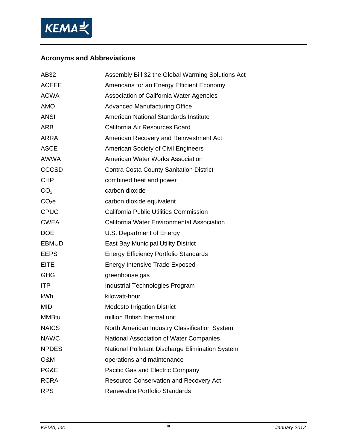

#### **Acronyms and Abbreviations**

| AB32              | Assembly Bill 32 the Global Warming Solutions Act |
|-------------------|---------------------------------------------------|
| <b>ACEEE</b>      | Americans for an Energy Efficient Economy         |
| <b>ACWA</b>       | Association of California Water Agencies          |
| <b>AMO</b>        | <b>Advanced Manufacturing Office</b>              |
| <b>ANSI</b>       | American National Standards Institute             |
| <b>ARB</b>        | California Air Resources Board                    |
| <b>ARRA</b>       | American Recovery and Reinvestment Act            |
| <b>ASCE</b>       | <b>American Society of Civil Engineers</b>        |
| <b>AWWA</b>       | American Water Works Association                  |
| <b>CCCSD</b>      | <b>Contra Costa County Sanitation District</b>    |
| <b>CHP</b>        | combined heat and power                           |
| CO <sub>2</sub>   | carbon dioxide                                    |
| CO <sub>2</sub> e | carbon dioxide equivalent                         |
| <b>CPUC</b>       | <b>California Public Utilities Commission</b>     |
| <b>CWEA</b>       | California Water Environmental Association        |
| <b>DOE</b>        | U.S. Department of Energy                         |
| <b>EBMUD</b>      | <b>East Bay Municipal Utility District</b>        |
| <b>EEPS</b>       | <b>Energy Efficiency Portfolio Standards</b>      |
| <b>EITE</b>       | <b>Energy Intensive Trade Exposed</b>             |
| <b>GHG</b>        | greenhouse gas                                    |
| <b>ITP</b>        | <b>Industrial Technologies Program</b>            |
| <b>kWh</b>        | kilowatt-hour                                     |
| <b>MID</b>        | <b>Modesto Irrigation District</b>                |
| <b>MMBtu</b>      | million British thermal unit                      |
| <b>NAICS</b>      | North American Industry Classification System     |
| <b>NAWC</b>       | National Association of Water Companies           |
| <b>NPDES</b>      | National Pollutant Discharge Elimination System   |
| O&M               | operations and maintenance                        |
| PG&E              | Pacific Gas and Electric Company                  |
| <b>RCRA</b>       | <b>Resource Conservation and Recovery Act</b>     |
| <b>RPS</b>        | Renewable Portfolio Standards                     |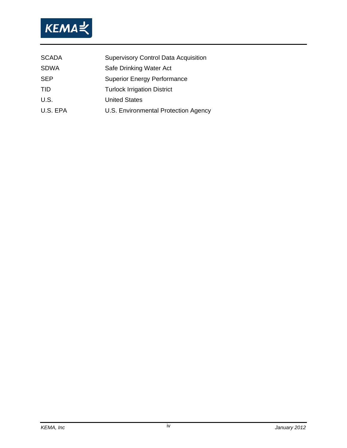

| <b>SCADA</b> | <b>Supervisory Control Data Acquisition</b> |
|--------------|---------------------------------------------|
| <b>SDWA</b>  | Safe Drinking Water Act                     |
| <b>SEP</b>   | <b>Superior Energy Performance</b>          |
| <b>TID</b>   | <b>Turlock Irrigation District</b>          |
| U.S.         | <b>United States</b>                        |
| U.S. EPA     | U.S. Environmental Protection Agency        |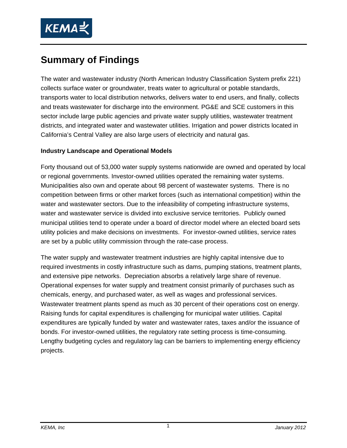

# **Summary of Findings**

The water and wastewater industry (North American Industry Classification System prefix 221) collects surface water or groundwater, treats water to agricultural or potable standards, transports water to local distribution networks, delivers water to end users, and finally, collects and treats wastewater for discharge into the environment. PG&E and SCE customers in this sector include large public agencies and private water supply utilities, wastewater treatment districts, and integrated water and wastewater utilities. Irrigation and power districts located in California's Central Valley are also large users of electricity and natural gas.

#### **Industry Landscape and Operational Models**

Forty thousand out of 53,000 water supply systems nationwide are owned and operated by local or regional governments. Investor-owned utilities operated the remaining water systems. Municipalities also own and operate about 98 percent of wastewater systems. There is no competition between firms or other market forces (such as international competition) within the water and wastewater sectors. Due to the infeasibility of competing infrastructure systems, water and wastewater service is divided into exclusive service territories. Publicly owned municipal utilities tend to operate under a board of director model where an elected board sets utility policies and make decisions on investments. For investor-owned utilities, service rates are set by a public utility commission through the rate-case process.

The water supply and wastewater treatment industries are highly capital intensive due to required investments in costly infrastructure such as dams, pumping stations, treatment plants, and extensive pipe networks. Depreciation absorbs a relatively large share of revenue. Operational expenses for water supply and treatment consist primarily of purchases such as chemicals, energy, and purchased water, as well as wages and professional services. Wastewater treatment plants spend as much as 30 percent of their operations cost on energy. Raising funds for capital expenditures is challenging for municipal water utilities. Capital expenditures are typically funded by water and wastewater rates, taxes and/or the issuance of bonds. For investor-owned utilities, the regulatory rate setting process is time-consuming. Lengthy budgeting cycles and regulatory lag can be barriers to implementing energy efficiency projects.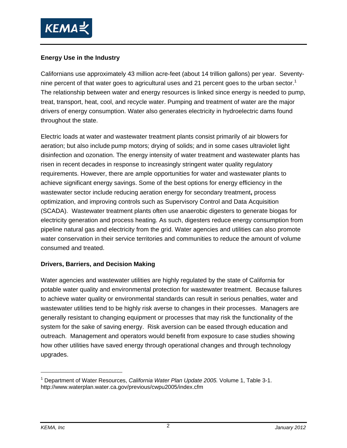

#### **Energy Use in the Industry**

Californians use approximately 43 million acre-feet (about 14 trillion gallons) per year. Seventynine percent of that water goes to agricultural uses and 21 percent goes to the urban sector.<sup>1</sup> The relationship between water and energy resources is linked since energy is needed to pump, treat, transport, heat, cool, and recycle water. Pumping and treatment of water are the major drivers of energy consumption. Water also generates electricity in hydroelectric dams found throughout the state.

Electric loads at water and wastewater treatment plants consist primarily of air blowers for aeration; but also include pump motors; drying of solids; and in some cases ultraviolet light disinfection and ozonation. The energy intensity of water treatment and wastewater plants has risen in recent decades in response to increasingly stringent water quality regulatory requirements. However, there are ample opportunities for water and wastewater plants to achieve significant energy savings. Some of the best options for energy efficiency in the wastewater sector include reducing aeration energy for secondary treatment**,** process optimization, and improving controls such as Supervisory Control and Data Acquisition (SCADA). Wastewater treatment plants often use anaerobic digesters to generate biogas for electricity generation and process heating. As such, digesters reduce energy consumption from pipeline natural gas and electricity from the grid. Water agencies and utilities can also promote water conservation in their service territories and communities to reduce the amount of volume consumed and treated.

#### **Drivers, Barriers, and Decision Making**

Water agencies and wastewater utilities are highly regulated by the state of California for potable water quality and environmental protection for wastewater treatment. Because failures to achieve water quality or environmental standards can result in serious penalties, water and wastewater utilities tend to be highly risk averse to changes in their processes. Managers are generally resistant to changing equipment or processes that may risk the functionality of the system for the sake of saving energy. Risk aversion can be eased through education and outreach. Management and operators would benefit from exposure to case studies showing how other utilities have saved energy through operational changes and through technology upgrades.

<sup>1</sup> Department of Water Resources, *California Water Plan Update 2005.* Volume 1, Table 3-1. http://www.waterplan.water.ca.gov/previous/cwpu2005/index.cfm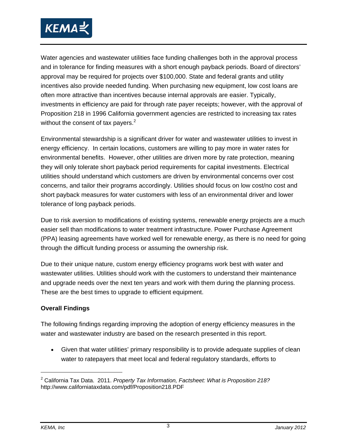

Water agencies and wastewater utilities face funding challenges both in the approval process and in tolerance for finding measures with a short enough payback periods. Board of directors' approval may be required for projects over \$100,000. State and federal grants and utility incentives also provide needed funding. When purchasing new equipment, low cost loans are often more attractive than incentives because internal approvals are easier. Typically, investments in efficiency are paid for through rate payer receipts; however, with the approval of Proposition 218 in 1996 California government agencies are restricted to increasing tax rates without the consent of tax payers. $2$ 

Environmental stewardship is a significant driver for water and wastewater utilities to invest in energy efficiency. In certain locations, customers are willing to pay more in water rates for environmental benefits. However, other utilities are driven more by rate protection, meaning they will only tolerate short payback period requirements for capital investments. Electrical utilities should understand which customers are driven by environmental concerns over cost concerns, and tailor their programs accordingly. Utilities should focus on low cost/no cost and short payback measures for water customers with less of an environmental driver and lower tolerance of long payback periods.

Due to risk aversion to modifications of existing systems, renewable energy projects are a much easier sell than modifications to water treatment infrastructure. Power Purchase Agreement (PPA) leasing agreements have worked well for renewable energy, as there is no need for going through the difficult funding process or assuming the ownership risk.

Due to their unique nature, custom energy efficiency programs work best with water and wastewater utilities. Utilities should work with the customers to understand their maintenance and upgrade needs over the next ten years and work with them during the planning process. These are the best times to upgrade to efficient equipment.

#### **Overall Findings**

The following findings regarding improving the adoption of energy efficiency measures in the water and wastewater industry are based on the research presented in this report.

• Given that water utilities' primary responsibility is to provide adequate supplies of clean water to ratepayers that meet local and federal regulatory standards, efforts to

<sup>2</sup> California Tax Data. 2011. *Property Tax Information, Factsheet: What is Proposition 218?* http://www.californiataxdata.com/pdf/Proposition218.PDF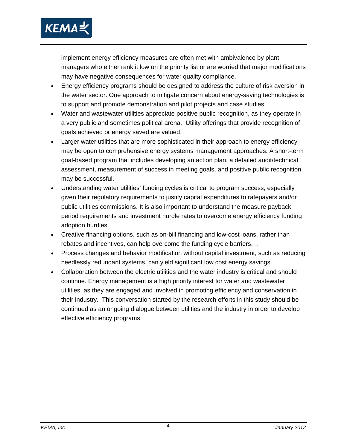

implement energy efficiency measures are often met with ambivalence by plant managers who either rank it low on the priority list or are worried that major modifications may have negative consequences for water quality compliance.

- Energy efficiency programs should be designed to address the culture of risk aversion in the water sector. One approach to mitigate concern about energy-saving technologies is to support and promote demonstration and pilot projects and case studies.
- Water and wastewater utilities appreciate positive public recognition, as they operate in a very public and sometimes political arena. Utility offerings that provide recognition of goals achieved or energy saved are valued.
- Larger water utilities that are more sophisticated in their approach to energy efficiency may be open to comprehensive energy systems management approaches. A short-term goal-based program that includes developing an action plan, a detailed audit/technical assessment, measurement of success in meeting goals, and positive public recognition may be successful.
- Understanding water utilities' funding cycles is critical to program success; especially given their regulatory requirements to justify capital expenditures to ratepayers and/or public utilities commissions. It is also important to understand the measure payback period requirements and investment hurdle rates to overcome energy efficiency funding adoption hurdles.
- Creative financing options, such as on-bill financing and low-cost loans, rather than rebates and incentives, can help overcome the funding cycle barriers. .
- Process changes and behavior modification without capital investment, such as reducing needlessly redundant systems, can yield significant low cost energy savings.
- Collaboration between the electric utilities and the water industry is critical and should continue. Energy management is a high priority interest for water and wastewater utilities, as they are engaged and involved in promoting efficiency and conservation in their industry. This conversation started by the research efforts in this study should be continued as an ongoing dialogue between utilities and the industry in order to develop effective efficiency programs.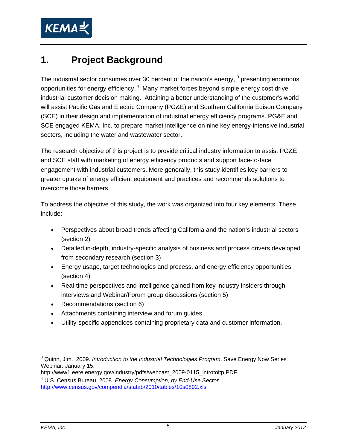

## **1. Project Background**

The industrial sector consumes over 30 percent of the nation's energy,  $3$  presenting enormous opportunities for energy efficiency.<sup>4</sup> Many market forces beyond simple energy cost drive industrial customer decision making. Attaining a better understanding of the customer's world will assist Pacific Gas and Electric Company (PG&E) and Southern California Edison Company (SCE) in their design and implementation of industrial energy efficiency programs. PG&E and SCE engaged KEMA, Inc. to prepare market intelligence on nine key energy-intensive industrial sectors, including the water and wastewater sector.

The research objective of this project is to provide critical industry information to assist PG&E and SCE staff with marketing of energy efficiency products and support face-to-face engagement with industrial customers. More generally, this study identifies key barriers to greater uptake of energy efficient equipment and practices and recommends solutions to overcome those barriers.

To address the objective of this study, the work was organized into four key elements. These include:

- Perspectives about broad trends affecting California and the nation's industrial sectors (section 2)
- Detailed in-depth, industry-specific analysis of business and process drivers developed from secondary research (section 3)
- Energy usage, target technologies and process, and energy efficiency opportunities (section 4)
- Real-time perspectives and intelligence gained from key industry insiders through interviews and Webinar/Forum group discussions (section 5)
- Recommendations (section 6)
- Attachments containing interview and forum guides
- Utility-specific appendices containing proprietary data and customer information.

<sup>3</sup> Quinn, Jim. 2009. *Introduction to the Industrial Technologies Program*. Save Energy Now Series Webinar. January 15.

http://www1.eere.energy.gov/industry/pdfs/webcast\_2009-0115\_introtoitp.PDF

<sup>4</sup> U.S. Census Bureau, 2008. *Energy Consumption, by End-Use Sector*. http://www.census.gov/compendia/statab/2010/tables/10s0892.xls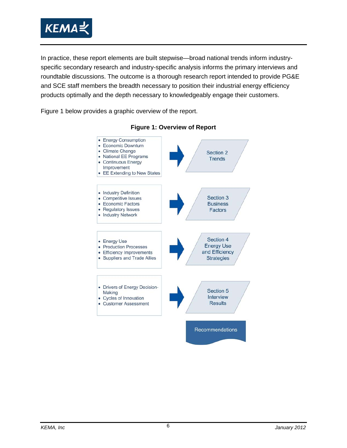

In practice, these report elements are built stepwise—broad national trends inform industryspecific secondary research and industry-specific analysis informs the primary interviews and roundtable discussions. The outcome is a thorough research report intended to provide PG&E and SCE staff members the breadth necessary to position their industrial energy efficiency products optimally and the depth necessary to knowledgeably engage their customers.

Figure 1 below provides a graphic overview of the report.



#### **Figure 1: Overview of Report**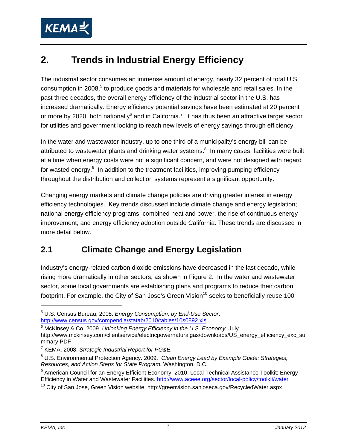

# **2. Trends in Industrial Energy Efficiency**

The industrial sector consumes an immense amount of energy, nearly 32 percent of total U.S. consumption in 2008,<sup>5</sup> to produce goods and materials for wholesale and retail sales. In the past three decades, the overall energy efficiency of the industrial sector in the U.S. has increased dramatically. Energy efficiency potential savings have been estimated at 20 percent or more by 2020, both nationally<sup>6</sup> and in California.<sup>7</sup> It has thus been an attractive target sector for utilities and government looking to reach new levels of energy savings through efficiency.

In the water and wastewater industry, up to one third of a municipality's energy bill can be attributed to wastewater plants and drinking water systems.<sup>8</sup> In many cases, facilities were built at a time when energy costs were not a significant concern, and were not designed with regard for wasted energy.<sup>9</sup> In addition to the treatment facilities, improving pumping efficiency throughout the distribution and collection systems represent a significant opportunity.

Changing energy markets and climate change policies are driving greater interest in energy efficiency technologies. Key trends discussed include climate change and energy legislation; national energy efficiency programs; combined heat and power, the rise of continuous energy improvement; and energy efficiency adoption outside California. These trends are discussed in more detail below.

### **2.1 Climate Change and Energy Legislation**

Industry's energy-related carbon dioxide emissions have decreased in the last decade, while rising more dramatically in other sectors, as shown in Figure 2. In the water and wastewater sector, some local governments are establishing plans and programs to reduce their carbon footprint. For example, the City of San Jose's Green Vision<sup>10</sup> seeks to beneficially reuse 100

<sup>5</sup> U.S. Census Bureau, 2008. *Energy Consumption, by End-Use Sector*. http://www.census.gov/compendia/statab/2010/tables/10s0892.xls

<sup>6</sup> McKinsey & Co. 2009. *Unlocking Energy Efficiency in the U.S. Economy.* July.

http://www.mckinsey.com/clientservice/electricpowernaturalgas/downloads/US\_energy\_efficiency\_exc\_su mmary.PDF

<sup>7</sup> KEMA. 2008. *Strategic Industrial Report for PG&E.*

<sup>8</sup> U.S. Environmental Protection Agency. 2009. *Clean Energy Lead by Example Guide: Strategies, Resources, and Action Steps for State Program.* Washington, D.C.

<sup>&</sup>lt;sup>9</sup> American Council for an Energy Efficient Economy. 2010. Local Technical Assistance Toolkit: Energy Efficiency in Water and Wastewater Facilities. http://www.aceee.org/sector/local-policy/toolkit/water<br><sup>10</sup> City of San Jose, Green Vision website. http://greenvision.sanjoseca.gov/RecycledWater.aspx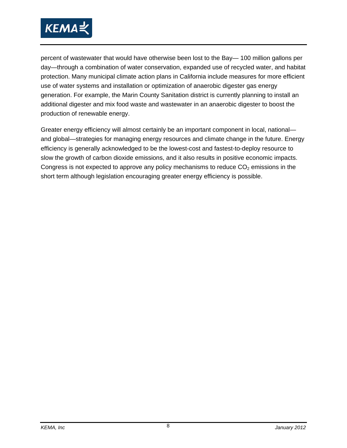

percent of wastewater that would have otherwise been lost to the Bay— 100 million gallons per day—through a combination of water conservation, expanded use of recycled water, and habitat protection. Many municipal climate action plans in California include measures for more efficient use of water systems and installation or optimization of anaerobic digester gas energy generation. For example, the Marin County Sanitation district is currently planning to install an additional digester and mix food waste and wastewater in an anaerobic digester to boost the production of renewable energy.

Greater energy efficiency will almost certainly be an important component in local, national and global—strategies for managing energy resources and climate change in the future. Energy efficiency is generally acknowledged to be the lowest-cost and fastest-to-deploy resource to slow the growth of carbon dioxide emissions, and it also results in positive economic impacts. Congress is not expected to approve any policy mechanisms to reduce  $CO<sub>2</sub>$  emissions in the short term although legislation encouraging greater energy efficiency is possible.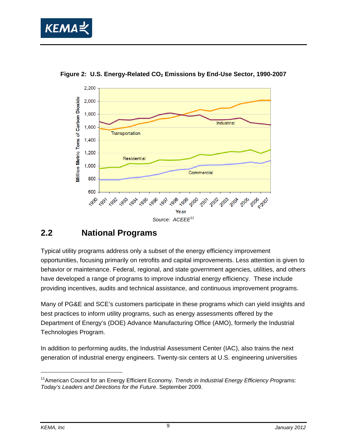



Figure 2: U.S. Energy-Related CO<sub>2</sub> Emissions by End-Use Sector, 1990-2007

#### **2.2 National Programs**

Typical utility programs address only a subset of the energy efficiency improvement opportunities, focusing primarily on retrofits and capital improvements. Less attention is given to behavior or maintenance. Federal, regional, and state government agencies, utilities, and others have developed a range of programs to improve industrial energy efficiency. These include providing incentives, audits and technical assistance, and continuous improvement programs.

Many of PG&E and SCE's customers participate in these programs which can yield insights and best practices to inform utility programs, such as energy assessments offered by the Department of Energy's (DOE) Advance Manufacturing Office (AMO), formerly the Industrial Technologies Program.

In addition to performing audits, the Industrial Assessment Center (IAC), also trains the next generation of industrial energy engineers. Twenty-six centers at U.S. engineering universities

<sup>11</sup>American Council for an Energy Efficient Economy. *Trends in Industrial Energy Efficiency Programs: Today's Leaders and Directions for the Future*. September 2009.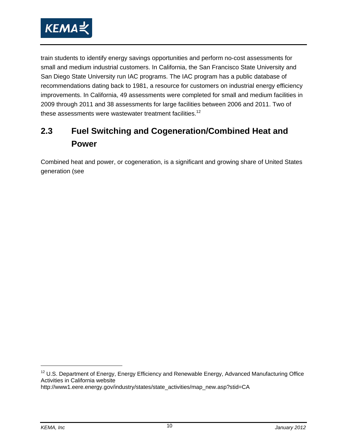

train students to identify energy savings opportunities and perform no-cost assessments for small and medium industrial customers. In California, the San Francisco State University and San Diego State University run IAC programs. The IAC program has a public database of recommendations dating back to 1981, a resource for customers on industrial energy efficiency improvements. In California, 49 assessments were completed for small and medium facilities in 2009 through 2011 and 38 assessments for large facilities between 2006 and 2011. Two of these assessments were wastewater treatment facilities.<sup>12</sup>

## **2.3 Fuel Switching and Cogeneration/Combined Heat and Power**

Combined heat and power, or cogeneration, is a significant and growing share of United States generation (see

 $12$  U.S. Department of Energy, Energy Efficiency and Renewable Energy, Advanced Manufacturing Office Activities in California website

http://www1.eere.energy.gov/industry/states/state\_activities/map\_new.asp?stid=CA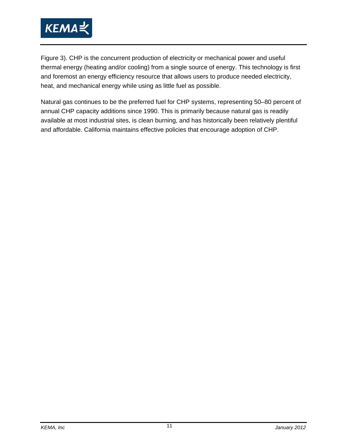

Figure 3). CHP is the concurrent production of electricity or mechanical power and useful thermal energy (heating and/or cooling) from a single source of energy. This technology is first and foremost an energy efficiency resource that allows users to produce needed electricity, heat, and mechanical energy while using as little fuel as possible.

Natural gas continues to be the preferred fuel for CHP systems, representing 50–80 percent of annual CHP capacity additions since 1990. This is primarily because natural gas is readily available at most industrial sites, is clean burning, and has historically been relatively plentiful and affordable. California maintains effective policies that encourage adoption of CHP.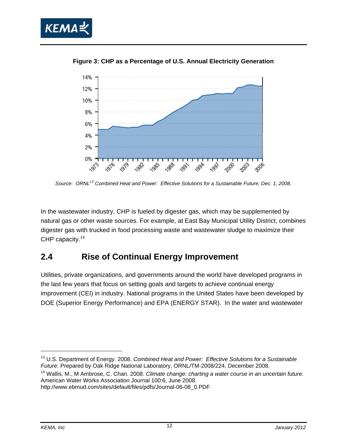



**Figure 3: CHP as a Percentage of U.S. Annual Electricity Generation** 

*Source: ORNL13 Combined Heat and Power: Effective Solutions for a Sustainable Future, Dec. 1, 2008.* 

In the wastewater industry, CHP is fueled by digester gas, which may be supplemented by natural gas or other waste sources. For example, at East Bay Municipal Utility District, combines digester gas with trucked in food processing waste and wastewater sludge to maximize their CHP capacity.<sup>14</sup>

#### **2.4 Rise of Continual Energy Improvement**

Utilities, private organizations, and governments around the world have developed programs in the last few years that focus on setting goals and targets to achieve continual energy improvement (CEI) in industry. National programs in the United States have been developed by DOE (Superior Energy Performance) and EPA (ENERGY STAR). In the water and wastewater

<sup>13</sup> U.S. Department of Energy. 2008. *Combined Heat and Power: Effective Solutions for a Sustainable Future*. Prepared by Oak Ridge National Laboratory, ORNL/TM-2008/224, December 2008.

<sup>14</sup> Wallis, M., M Ambrose, C. Chan. 2008. *Climate change: charting a water course in an uncertain future.* American Water Works Association Journal 100:6, June 2008.

http://www.ebmud.com/sites/default/files/pdfs/Journal-06-08\_0.PDF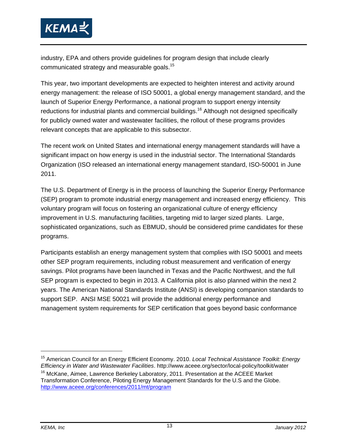

industry, EPA and others provide guidelines for program design that include clearly communicated strategy and measurable goals.15

This year, two important developments are expected to heighten interest and activity around energy management: the release of ISO 50001, a global energy management standard, and the launch of Superior Energy Performance, a national program to support energy intensity reductions for industrial plants and commercial buildings.<sup>16</sup> Although not designed specifically for publicly owned water and wastewater facilities, the rollout of these programs provides relevant concepts that are applicable to this subsector.

The recent work on United States and international energy management standards will have a significant impact on how energy is used in the industrial sector. The International Standards Organization (ISO released an international energy management standard, ISO-50001 in June 2011.

The U.S. Department of Energy is in the process of launching the Superior Energy Performance (SEP) program to promote industrial energy management and increased energy efficiency. This voluntary program will focus on fostering an organizational culture of energy efficiency improvement in U.S. manufacturing facilities, targeting mid to larger sized plants. Large, sophisticated organizations, such as EBMUD, should be considered prime candidates for these programs.

Participants establish an energy management system that complies with ISO 50001 and meets other SEP program requirements, including robust measurement and verification of energy savings. Pilot programs have been launched in Texas and the Pacific Northwest, and the full SEP program is expected to begin in 2013. A California pilot is also planned within the next 2 years. The American National Standards Institute (ANSI) is developing companion standards to support SEP. ANSI MSE 50021 will provide the additional energy performance and management system requirements for SEP certification that goes beyond basic conformance

15 American Council for an Energy Efficient Economy. 2010. *Local Technical Assistance Toolkit: Energy Efficiency in Water and Wastewater Facilities*. http://www.aceee.org/sector/local-policy/toolkit/water <sup>16</sup> McKane, Aimee, Lawrence Berkeley Laboratory, 2011. Presentation at the ACEEE Market Transformation Conference, Piloting Energy Management Standards for the U.S and the Globe.

http://www.aceee.org/conferences/2011/mt/program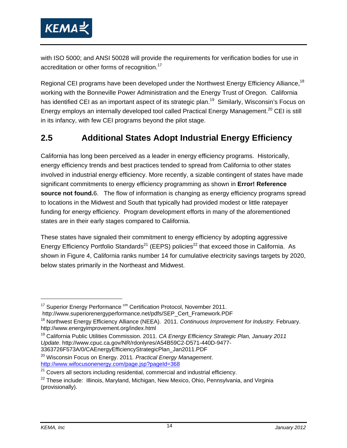

with ISO 5000; and ANSI 50028 will provide the requirements for verification bodies for use in accreditation or other forms of recognition.<sup>17</sup>

Regional CEI programs have been developed under the Northwest Energy Efficiency Alliance,<sup>18</sup> working with the Bonneville Power Administration and the Energy Trust of Oregon. California has identified CEI as an important aspect of its strategic plan.<sup>19</sup> Similarly, Wisconsin's Focus on Energy employs an internally developed tool called Practical Energy Management.<sup>20</sup> CEI is still in its infancy, with few CEI programs beyond the pilot stage.

### **2.5 Additional States Adopt Industrial Energy Efficiency**

California has long been perceived as a leader in energy efficiency programs. Historically, energy efficiency trends and best practices tended to spread from California to other states involved in industrial energy efficiency. More recently, a sizable contingent of states have made significant commitments to energy efficiency programming as shown in **Error! Reference source not found.**6. The flow of information is changing as energy efficiency programs spread to locations in the Midwest and South that typically had provided modest or little ratepayer funding for energy efficiency. Program development efforts in many of the aforementioned states are in their early stages compared to California.

These states have signaled their commitment to energy efficiency by adopting aggressive Energy Efficiency Portfolio Standards<sup>21</sup> (EEPS) policies<sup>22</sup> that exceed those in California. As shown in Figure 4, California ranks number 14 for cumulative electricity savings targets by 2020, below states primarily in the Northeast and Midwest.

 $17$  Superior Energy Performance  $\text{cm}$  Certification Protocol, November 2011. http://www.superiorenergyperformance.net/pdfs/SEP\_Cert\_Framework.PDF

<sup>18</sup> Northwest Energy Efficiency Alliance (NEEA). 2011. *Continuous Improvement for Industry.* February. http://www.energyimprovement.org/index.html

<sup>19</sup> California Public Utilities Commission. 2011. *CA Energy Efficiency Strategic Plan, January 2011 Update*. http://www.cpuc.ca.gov/NR/rdonlyres/A54B59C2-D571-440D-9477- 3363726F573A/0/CAEnergyEfficiencyStrategicPlan\_Jan2011.PDF

<sup>&</sup>lt;sup>20</sup> Wisconsin Focus on Energy. 2011. Practical Energy Management.<br>http://www.wifocusonenergy.com/page.jsp?pageId=368

 $121$  Covers all sectors including residential, commercial and industrial efficiency.

<sup>&</sup>lt;sup>22</sup> These include: Illinois, Maryland, Michigan, New Mexico, Ohio, Pennsylvania, and Virginia (provisionally).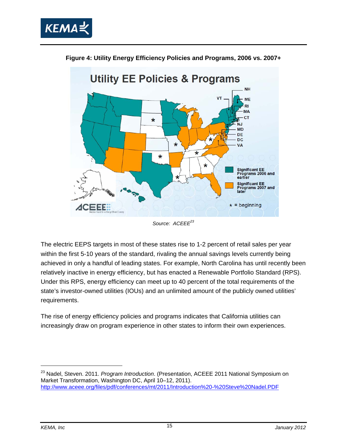



**Figure 4: Utility Energy Efficiency Policies and Programs, 2006 vs. 2007+** 

The electric EEPS targets in most of these states rise to 1-2 percent of retail sales per year within the first 5-10 years of the standard, rivaling the annual savings levels currently being achieved in only a handful of leading states. For example, North Carolina has until recently been relatively inactive in energy efficiency, but has enacted a Renewable Portfolio Standard (RPS). Under this RPS, energy efficiency can meet up to 40 percent of the total requirements of the state's investor-owned utilities (IOUs) and an unlimited amount of the publicly owned utilities' requirements.

The rise of energy efficiency policies and programs indicates that California utilities can increasingly draw on program experience in other states to inform their own experiences.

<sup>23</sup> Nadel, Steven. 2011. *Program Introduction*. (Presentation, ACEEE 2011 National Symposium on Market Transformation, Washington DC, April 10–12, 2011). http://www.aceee.org/files/pdf/conferences/mt/2011/Introduction%20-%20Steve%20Nadel.PDF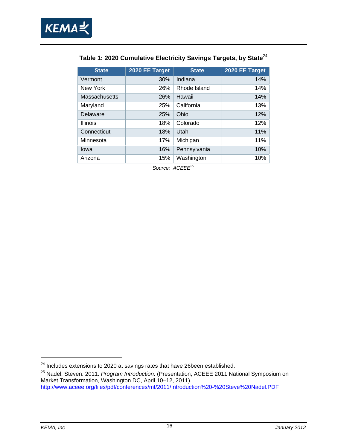

| <b>State</b>         | 2020 EE Target | <b>State</b> | 2020 EE Target |
|----------------------|----------------|--------------|----------------|
| Vermont              | 30%            | Indiana      | 14%            |
| New York             | 26%            | Rhode Island | 14%            |
| <b>Massachusetts</b> | 26%            | Hawaii       | 14%            |
| Maryland             | 25%            | California   | 13%            |
| Delaware             | 25%            | Ohio         | 12%            |
| <b>Illinois</b>      | 18%            | Colorado     | 12%            |
| Connecticut          | 18%            | Utah         | 11%            |
| Minnesota            | 17%            | Michigan     | 11%            |
| lowa                 | 16%            | Pennsylvania | 10%            |
| Arizona              | 15%            | Washington   | 10%            |

Source: ACEEE<sup>25</sup>

 $24$  Includes extensions to 2020 at savings rates that have 26been established.

<sup>25</sup> Nadel, Steven. 2011. *Program Introduction*. (Presentation, ACEEE 2011 National Symposium on Market Transformation, Washington DC, April 10–12, 2011). http://www.aceee.org/files/pdf/conferences/mt/2011/Introduction%20-%20Steve%20Nadel.PDF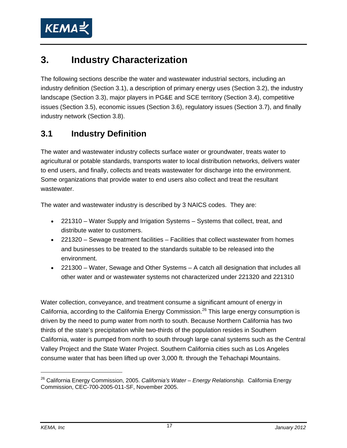

## **3. Industry Characterization**

The following sections describe the water and wastewater industrial sectors, including an industry definition (Section 3.1), a description of primary energy uses (Section 3.2), the industry landscape (Section 3.3), major players in PG&E and SCE territory (Section 3.4), competitive issues (Section 3.5), economic issues (Section 3.6), regulatory issues (Section 3.7), and finally industry network (Section 3.8).

### **3.1 Industry Definition**

The water and wastewater industry collects surface water or groundwater, treats water to agricultural or potable standards, transports water to local distribution networks, delivers water to end users, and finally, collects and treats wastewater for discharge into the environment. Some organizations that provide water to end users also collect and treat the resultant wastewater.

The water and wastewater industry is described by 3 NAICS codes. They are:

- 221310 Water Supply and Irrigation Systems Systems that collect, treat, and distribute water to customers.
- 221320 Sewage treatment facilities Facilities that collect wastewater from homes and businesses to be treated to the standards suitable to be released into the environment.
- 221300 Water, Sewage and Other Systems A catch all designation that includes all other water and or wastewater systems not characterized under 221320 and 221310

Water collection, conveyance, and treatment consume a significant amount of energy in California, according to the California Energy Commission.<sup>26</sup> This large energy consumption is driven by the need to pump water from north to south. Because Northern California has two thirds of the state's precipitation while two-thirds of the population resides in Southern California, water is pumped from north to south through large canal systems such as the Central Valley Project and the State Water Project. Southern California cities such as Los Angeles consume water that has been lifted up over 3,000 ft. through the Tehachapi Mountains.

<sup>26</sup> California Energy Commission, 2005. *California's Water – Energy Relationship.* California Energy Commission, CEC-700-2005-011-SF, November 2005.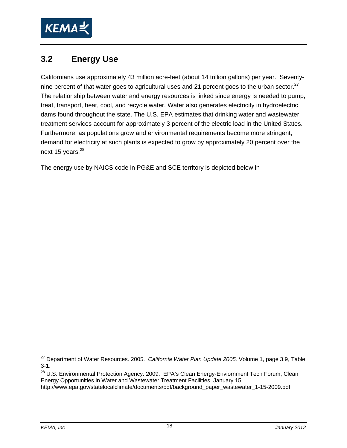

### **3.2 Energy Use**

Californians use approximately 43 million acre-feet (about 14 trillion gallons) per year. Seventynine percent of that water goes to agricultural uses and 21 percent goes to the urban sector. $^{27}$ The relationship between water and energy resources is linked since energy is needed to pump, treat, transport, heat, cool, and recycle water. Water also generates electricity in hydroelectric dams found throughout the state. The U.S. EPA estimates that drinking water and wastewater treatment services account for approximately 3 percent of the electric load in the United States. Furthermore, as populations grow and environmental requirements become more stringent, demand for electricity at such plants is expected to grow by approximately 20 percent over the next 15 years.<sup>28</sup>

The energy use by NAICS code in PG&E and SCE territory is depicted below in

<sup>27</sup> Department of Water Resources. 2005. *California Water Plan Update 2005.* Volume 1, page 3.9, Table 3-1.

<sup>&</sup>lt;sup>28</sup> U.S. Environmental Protection Agency. 2009. EPA's Clean Energy-Enviornment Tech Forum, Clean Energy Opportunities in Water and Wastewater Treatment Facilities. January 15. http://www.epa.gov/statelocalclimate/documents/pdf/background\_paper\_wastewater\_1-15-2009.pdf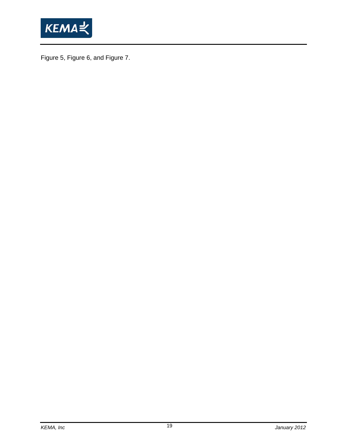

Figure 5, Figure 6, and Figure 7.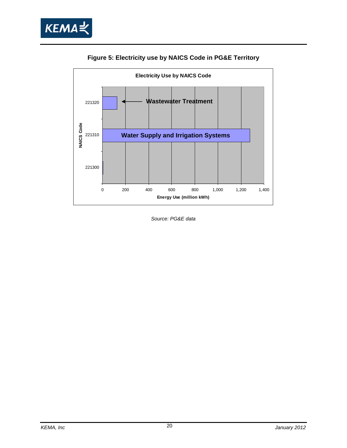



**Figure 5: Electricity use by NAICS Code in PG&E Territory** 

*Source: PG&E data*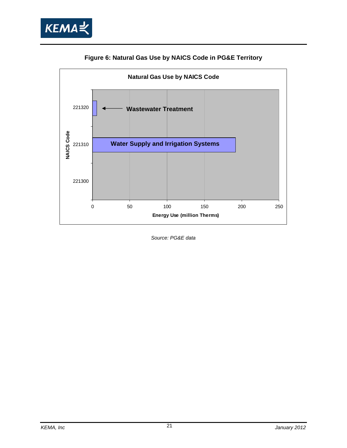



#### **Figure 6: Natural Gas Use by NAICS Code in PG&E Territory**

*Source: PG&E data*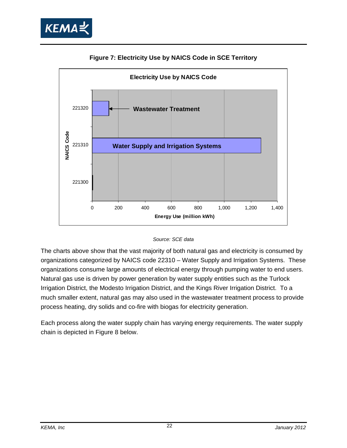



#### **Figure 7: Electricity Use by NAICS Code in SCE Territory**



The charts above show that the vast majority of both natural gas and electricity is consumed by organizations categorized by NAICS code 22310 – Water Supply and Irrigation Systems. These organizations consume large amounts of electrical energy through pumping water to end users. Natural gas use is driven by power generation by water supply entities such as the Turlock Irrigation District, the Modesto Irrigation District, and the Kings River Irrigation District. To a much smaller extent, natural gas may also used in the wastewater treatment process to provide process heating, dry solids and co-fire with biogas for electricity generation.

Each process along the water supply chain has varying energy requirements. The water supply chain is depicted in Figure 8 below.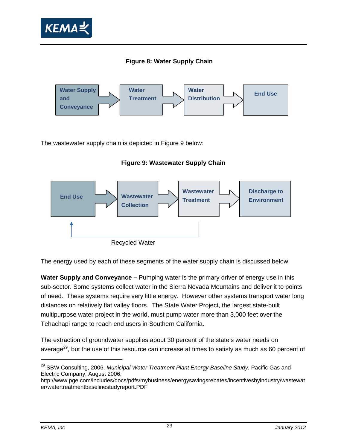





The wastewater supply chain is depicted in Figure 9 below:

**Figure 9: Wastewater Supply Chain** 



The energy used by each of these segments of the water supply chain is discussed below.

**Water Supply and Conveyance –** Pumping water is the primary driver of energy use in this sub-sector. Some systems collect water in the Sierra Nevada Mountains and deliver it to points of need. These systems require very little energy. However other systems transport water long distances on relatively flat valley floors. The State Water Project, the largest state-built multipurpose water project in the world, must pump water more than 3,000 feet over the Tehachapi range to reach end users in Southern California.

The extraction of groundwater supplies about 30 percent of the state's water needs on average<sup>29</sup>, but the use of this resource can increase at times to satisfy as much as 60 percent of

<sup>29</sup> SBW Consulting, 2006. *Municipal Water Treatment Plant Energy Baseline Study.* Pacific Gas and Electric Company, August 2006.

http://www.pge.com/includes/docs/pdfs/mybusiness/energysavingsrebates/incentivesbyindustry/wastewat er/watertreatmentbaselinestudyreport.PDF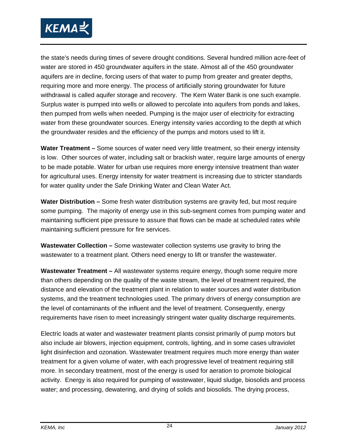

the state's needs during times of severe drought conditions. Several hundred million acre-feet of water are stored in 450 groundwater aquifers in the state. Almost all of the 450 groundwater aquifers are in decline, forcing users of that water to pump from greater and greater depths, requiring more and more energy. The process of artificially storing groundwater for future withdrawal is called aquifer storage and recovery. The Kern Water Bank is one such example. Surplus water is pumped into wells or allowed to percolate into aquifers from ponds and lakes, then pumped from wells when needed. Pumping is the major user of electricity for extracting water from these groundwater sources. Energy intensity varies according to the depth at which the groundwater resides and the efficiency of the pumps and motors used to lift it.

**Water Treatment –** Some sources of water need very little treatment, so their energy intensity is low. Other sources of water, including salt or brackish water, require large amounts of energy to be made potable. Water for urban use requires more energy intensive treatment than water for agricultural uses. Energy intensity for water treatment is increasing due to stricter standards for water quality under the Safe Drinking Water and Clean Water Act.

**Water Distribution –** Some fresh water distribution systems are gravity fed, but most require some pumping. The majority of energy use in this sub-segment comes from pumping water and maintaining sufficient pipe pressure to assure that flows can be made at scheduled rates while maintaining sufficient pressure for fire services.

**Wastewater Collection –** Some wastewater collection systems use gravity to bring the wastewater to a treatment plant. Others need energy to lift or transfer the wastewater.

**Wastewater Treatment –** All wastewater systems require energy, though some require more than others depending on the quality of the waste stream, the level of treatment required, the distance and elevation of the treatment plant in relation to water sources and water distribution systems, and the treatment technologies used. The primary drivers of energy consumption are the level of contaminants of the influent and the level of treatment. Consequently, energy requirements have risen to meet increasingly stringent water quality discharge requirements.

Electric loads at water and wastewater treatment plants consist primarily of pump motors but also include air blowers, injection equipment, controls, lighting, and in some cases ultraviolet light disinfection and ozonation. Wastewater treatment requires much more energy than water treatment for a given volume of water, with each progressive level of treatment requiring still more. In secondary treatment, most of the energy is used for aeration to promote biological activity. Energy is also required for pumping of wastewater, liquid sludge, biosolids and process water; and processing, dewatering, and drying of solids and biosolids. The drying process,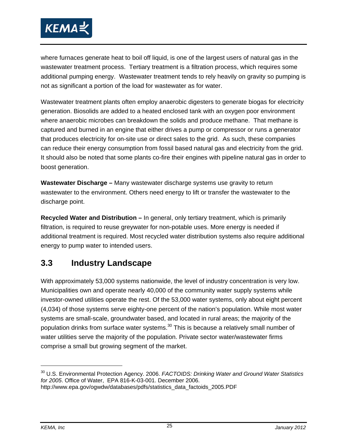

where furnaces generate heat to boil off liquid, is one of the largest users of natural gas in the wastewater treatment process. Tertiary treatment is a filtration process, which requires some additional pumping energy. Wastewater treatment tends to rely heavily on gravity so pumping is not as significant a portion of the load for wastewater as for water.

Wastewater treatment plants often employ anaerobic digesters to generate biogas for electricity generation. Biosolids are added to a heated enclosed tank with an oxygen poor environment where anaerobic microbes can breakdown the solids and produce methane. That methane is captured and burned in an engine that either drives a pump or compressor or runs a generator that produces electricity for on-site use or direct sales to the grid. As such, these companies can reduce their energy consumption from fossil based natural gas and electricity from the grid. It should also be noted that some plants co-fire their engines with pipeline natural gas in order to boost generation.

**Wastewater Discharge –** Many wastewater discharge systems use gravity to return wastewater to the environment. Others need energy to lift or transfer the wastewater to the discharge point.

**Recycled Water and Distribution –** In general, only tertiary treatment, which is primarily filtration, is required to reuse greywater for non-potable uses. More energy is needed if additional treatment is required. Most recycled water distribution systems also require additional energy to pump water to intended users.

### **3.3 Industry Landscape**

With approximately 53,000 systems nationwide, the level of industry concentration is very low. Municipalities own and operate nearly 40,000 of the community water supply systems while investor-owned utilities operate the rest. Of the 53,000 water systems, only about eight percent (4,034) of those systems serve eighty-one percent of the nation's population. While most water systems are small-scale, groundwater based, and located in rural areas; the majority of the population drinks from surface water systems.<sup>30</sup> This is because a relatively small number of water utilities serve the majority of the population. Private sector water/wastewater firms comprise a small but growing segment of the market.

<sup>30</sup> U.S. Environmental Protection Agency. 2006. *FACTOIDS: Drinking Water and Ground Water Statistics for 2005*. Office of Water, EPA 816-K-03-001. December 2006.

http://www.epa.gov/ogwdw/databases/pdfs/statistics\_data\_factoids\_2005.PDF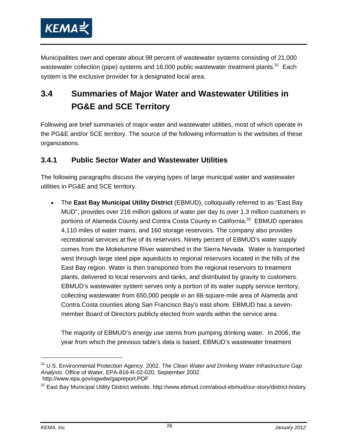

Municipalities own and operate about 98 percent of wastewater systems consisting of 21,000 wastewater collection (pipe) systems and 16,000 public wastewater treatment plants.<sup>31</sup> Each system is the exclusive provider for a designated local area.

## **3.4 Summaries of Major Water and Wastewater Utilities in PG&E and SCE Territory**

Following are brief summaries of major water and wastewater utilities, most of which operate in the PG&E and/or SCE territory. The source of the following information is the websites of these organizations.

#### **3.4.1 Public Sector Water and Wastewater Utilities**

The following paragraphs discuss the varying types of large municipal water and wastewater utilities in PG&E and SCE territory.

• The **East Bay Municipal Utility District** (EBMUD), colloquially referred to as "East Bay MUD", provides over 216 million gallons of water per day to over 1.3 million customers in portions of Alameda County and Contra Costa County in California.<sup>32</sup> EBMUD operates 4,110 miles of water mains, and 160 storage reservoirs. The company also provides recreational services at five of its reservoirs. Ninety percent of EBMUD's water supply comes from the Mokelumne River watershed in the Sierra Nevada. Water is transported west through large steel pipe aqueducts to regional reservoirs located in the hills of the East Bay region. Water is then transported from the regional reservoirs to treatment plants, delivered to local reservoirs and tanks, and distributed by gravity to customers. EBMUD's wastewater system serves only a portion of its water supply service territory, collecting wastewater from 650,000 people in an 88-square-mile area of Alameda and Contra Costa counties along San Francisco Bay's east shore. EBMUD has a sevenmember Board of Directors publicly elected from wards within the service area.

The majority of EBMUD's energy use stems from pumping drinking water. In 2006, the year from which the previous table's data is based, EBMUD's wastewater treatment

<sup>31</sup> U.S. Environmental Protection Agency. 2002. *The Clean Water and Drinking Water Infrastructure Gap Analysis*. Office of Water, EPA-816-R-02-020. September 2002. http://www.epa.gov/ogwdw/gapreport.PDF

<sup>&</sup>lt;sup>32</sup> East Bay Municipal Utility District website. http://www.ebmud.com/about-ebmud/our-story/district-history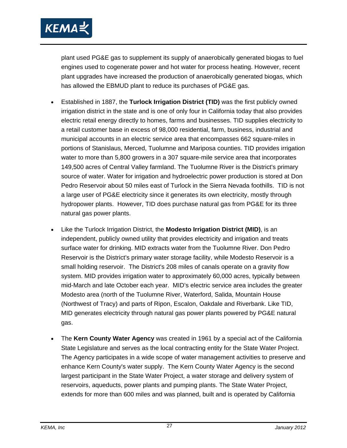

plant used PG&E gas to supplement its supply of anaerobically generated biogas to fuel engines used to cogenerate power and hot water for process heating. However, recent plant upgrades have increased the production of anaerobically generated biogas, which has allowed the EBMUD plant to reduce its purchases of PG&E gas.

- Established in 1887, the **Turlock Irrigation District (TID)** was the first publicly owned irrigation district in the state and is one of only four in California today that also provides electric retail energy directly to homes, farms and businesses. TID supplies electricity to a retail customer base in excess of 98,000 residential, farm, business, industrial and municipal accounts in an electric service area that encompasses 662 square-miles in portions of Stanislaus, Merced, Tuolumne and Mariposa counties. TID provides irrigation water to more than 5,800 growers in a 307 square-mile service area that incorporates 149,500 acres of Central Valley farmland. The Tuolumne River is the District's primary source of water. Water for irrigation and hydroelectric power production is stored at Don Pedro Reservoir about 50 miles east of Turlock in the Sierra Nevada foothills. TID is not a large user of PG&E electricity since it generates its own electricity, mostly through hydropower plants. However, TID does purchase natural gas from PG&E for its three natural gas power plants.
- Like the Turlock Irrigation District, the **Modesto Irrigation District (MID)**, is an independent, publicly owned utility that provides electricity and irrigation and treats surface water for drinking. MID extracts water from the Tuolumne River. Don Pedro Reservoir is the District's primary water storage facility, while Modesto Reservoir is a small holding reservoir. The District's 208 miles of canals operate on a gravity flow system. MID provides irrigation water to approximately 60,000 acres, typically between mid-March and late October each year. MID's electric service area includes the greater Modesto area (north of the Tuolumne River, Waterford, Salida, Mountain House (Northwest of Tracy) and parts of Ripon, Escalon, Oakdale and Riverbank. Like TID, MID generates electricity through natural gas power plants powered by PG&E natural gas.
- The **Kern County Water Agency** was created in 1961 by a special act of the California State Legislature and serves as the local contracting entity for the State Water Project. The Agency participates in a wide scope of water management activities to preserve and enhance Kern County's water supply. The Kern County Water Agency is the second largest participant in the State Water Project, a water storage and delivery system of reservoirs, aqueducts, power plants and pumping plants. The State Water Project, extends for more than 600 miles and was planned, built and is operated by California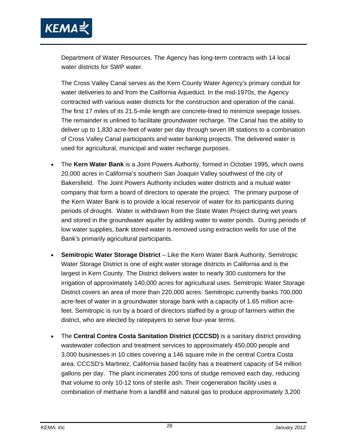

Department of Water Resources. The Agency has long-term contracts with 14 local water districts for SWP water.

The Cross Valley Canal serves as the Kern County Water Agency's primary conduit for water deliveries to and from the California Aqueduct. In the mid-1970s, the Agency contracted with various water districts for the construction and operation of the canal. The first 17 miles of its 21.5-mile length are concrete-lined to minimize seepage losses. The remainder is unlined to facilitate groundwater recharge. The Canal has the ability to deliver up to 1,830 acre-feet of water per day through seven lift stations to a combination of Cross Valley Canal participants and water banking projects. The delivered water is used for agricultural, municipal and water recharge purposes.

- The **Kern Water Bank** is a Joint Powers Authority, formed in October 1995, which owns 20,000 acres in California's southern San Joaquin Valley southwest of the city of Bakersfield. The Joint Powers Authority includes water districts and a mutual water company that form a board of directors to operate the project. The primary purpose of the Kern Water Bank is to provide a local reservoir of water for its participants during periods of drought. Water is withdrawn from the State Water Project during wet years and stored in the groundwater aquifer by adding water to water ponds. During periods of low water supplies, bank stored water is removed using extraction wells for use of the Bank's primarily agricultural participants.
- **Semitropic Water Storage District** Like the Kern Water Bank Authority, Semitropic Water Storage District is one of eight water storage districts in California and is the largest in Kern County. The District delivers water to nearly 300 customers for the irrigation of approximately 140,000 acres for agricultural uses. Semitropic Water Storage District covers an area of more than 220,000 acres. Semitropic currently banks 700,000 acre-feet of water in a groundwater storage bank with a capacity of 1.65 million acrefeet. Semitropic is run by a board of directors staffed by a group of farmers within the district, who are elected by ratepayers to serve four-year terms.
- The **Central Contra Costa Sanitation District (CCCSD)** is a sanitary district providing wastewater collection and treatment services to approximately 450,000 people and 3,000 businesses in 10 cities covering a 146 square mile in the central Contra Costa area. CCCSD's Martinez, California based facility has a treatment capacity of 54 million gallons per day. The plant incinerates 200 tons of sludge removed each day, reducing that volume to only 10-12 tons of sterile ash. Their cogeneration facility uses a combination of methane from a landfill and natural gas to produce approximately 3,200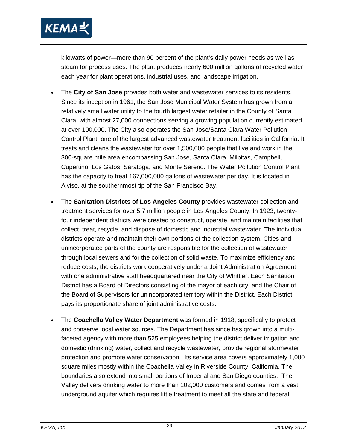

kilowatts of power—more than 90 percent of the plant's daily power needs as well as steam for process uses. The plant produces nearly 600 million gallons of recycled water each year for plant operations, industrial uses, and landscape irrigation.

- The **City of San Jose** provides both water and wastewater services to its residents. Since its inception in 1961, the San Jose Municipal Water System has grown from a relatively small water utility to the fourth largest water retailer in the County of Santa Clara, with almost 27,000 connections serving a growing population currently estimated at over 100,000. The City also operates the San Jose/Santa Clara Water Pollution Control Plant, one of the largest advanced wastewater treatment facilities in California. It treats and cleans the wastewater for over 1,500,000 people that live and work in the 300-square mile area encompassing San Jose, Santa Clara, Milpitas, Campbell, Cupertino, Los Gatos, Saratoga, and Monte Sereno. The Water Pollution Control Plant has the capacity to treat 167,000,000 gallons of wastewater per day. It is located in Alviso, at the southernmost tip of the San Francisco Bay.
- The **Sanitation Districts of Los Angeles County** provides wastewater collection and treatment services for over 5.7 million people in Los Angeles County. In 1923, twentyfour independent districts were created to construct, operate, and maintain facilities that collect, treat, recycle, and dispose of domestic and industrial wastewater. The individual districts operate and maintain their own portions of the collection system. Cities and unincorporated parts of the county are responsible for the collection of wastewater through local sewers and for the collection of solid waste. To maximize efficiency and reduce costs, the districts work cooperatively under a Joint Administration Agreement with one administrative staff headquartered near the City of Whittier. Each Sanitation District has a Board of Directors consisting of the mayor of each city, and the Chair of the Board of Supervisors for unincorporated territory within the District. Each District pays its proportionate share of joint administrative costs.
- The **Coachella Valley Water Department** was formed in 1918, specifically to protect and conserve local water sources. The Department has since has grown into a multifaceted agency with more than 525 employees helping the district deliver irrigation and domestic (drinking) water, collect and recycle wastewater, provide regional stormwater protection and promote water conservation. Its service area covers approximately 1,000 square miles mostly within the Coachella Valley in Riverside County, California. The boundaries also extend into small portions of Imperial and San Diego counties. The Valley delivers drinking water to more than 102,000 customers and comes from a vast underground aquifer which requires little treatment to meet all the state and federal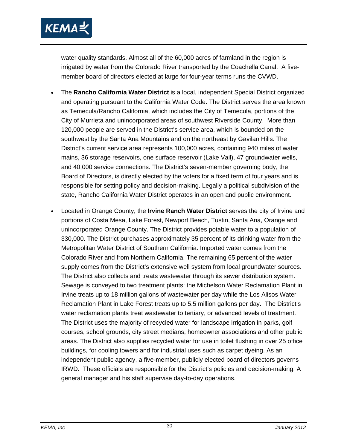

water quality standards. Almost all of the 60,000 acres of farmland in the region is irrigated by water from the Colorado River transported by the Coachella Canal. A fivemember board of directors elected at large for four-year terms runs the CVWD.

- The **Rancho California Water District** is a local, independent Special District organized and operating pursuant to the California Water Code. The District serves the area known as Temecula/Rancho California, which includes the City of Temecula, portions of the City of Murrieta and unincorporated areas of southwest Riverside County. More than 120,000 people are served in the District's service area, which is bounded on the southwest by the Santa Ana Mountains and on the northeast by Gavilan Hills. The District's current service area represents 100,000 acres, containing 940 miles of water mains, 36 storage reservoirs, one surface reservoir (Lake Vail), 47 groundwater wells, and 40,000 service connections. The District's seven-member governing body, the Board of Directors, is directly elected by the voters for a fixed term of four years and is responsible for setting policy and decision-making. Legally a political subdivision of the state, Rancho California Water District operates in an open and public environment.
- Located in Orange County, the **Irvine Ranch Water District** serves the city of Irvine and portions of Costa Mesa, Lake Forest, Newport Beach, Tustin, Santa Ana, Orange and unincorporated Orange County. The District provides potable water to a population of 330,000. The District purchases approximately 35 percent of its drinking water from the Metropolitan Water District of Southern California. Imported water comes from the Colorado River and from Northern California. The remaining 65 percent of the water supply comes from the District's extensive well system from local groundwater sources. The District also collects and treats wastewater through its sewer distribution system. Sewage is conveyed to two treatment plants: the Michelson Water Reclamation Plant in Irvine treats up to 18 million gallons of wastewater per day while the Los Alisos Water Reclamation Plant in Lake Forest treats up to 5.5 million gallons per day. The District's water reclamation plants treat wastewater to tertiary, or advanced levels of treatment. The District uses the majority of recycled water for landscape irrigation in parks, golf courses, school grounds, city street medians, homeowner associations and other public areas. The District also supplies recycled water for use in toilet flushing in over 25 office buildings, for cooling towers and for industrial uses such as carpet dyeing. As an independent public agency, a five-member, publicly elected board of directors governs IRWD. These officials are responsible for the District's policies and decision-making. A general manager and his staff supervise day-to-day operations.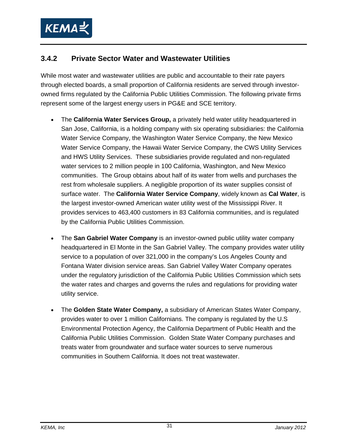

#### **3.4.2 Private Sector Water and Wastewater Utilities**

While most water and wastewater utilities are public and accountable to their rate payers through elected boards, a small proportion of California residents are served through investorowned firms regulated by the California Public Utilities Commission. The following private firms represent some of the largest energy users in PG&E and SCE territory.

- The **California Water Services Group,** a privately held water utility headquartered in San Jose, California, is a holding company with six operating subsidiaries: the California Water Service Company, the Washington Water Service Company, the New Mexico Water Service Company, the Hawaii Water Service Company, the CWS Utility Services and HWS Utility Services. These subsidiaries provide regulated and non-regulated water services to 2 million people in 100 California, Washington, and New Mexico communities. The Group obtains about half of its water from wells and purchases the rest from wholesale suppliers. A negligible proportion of its water supplies consist of surface water. The **California Water Service Company**, widely known as **Cal Water**, is the largest investor-owned American water utility west of the Mississippi River. It provides services to 463,400 customers in 83 California communities, and is regulated by the California Public Utilities Commission.
- The **San Gabriel Water Company** is an investor-owned public utility water company headquartered in El Monte in the San Gabriel Valley. The company provides water utility service to a population of over 321,000 in the company's Los Angeles County and Fontana Water division service areas. San Gabriel Valley Water Company operates under the regulatory jurisdiction of the California Public Utilities Commission which sets the water rates and charges and governs the rules and regulations for providing water utility service.
- The **Golden State Water Company,** a subsidiary of American States Water Company, provides water to over 1 million Californians. The company is regulated by the U.S Environmental Protection Agency, the California Department of Public Health and the California Public Utilities Commission. Golden State Water Company purchases and treats water from groundwater and surface water sources to serve numerous communities in Southern California. It does not treat wastewater.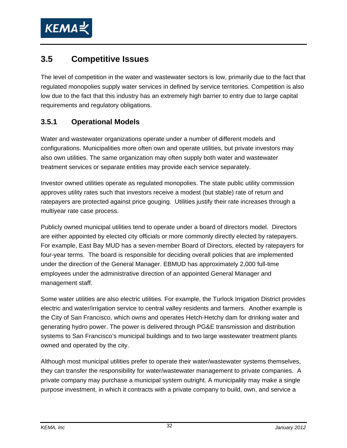

### **3.5 Competitive Issues**

The level of competition in the water and wastewater sectors is low, primarily due to the fact that regulated monopolies supply water services in defined by service territories. Competition is also low due to the fact that this industry has an extremely high barrier to entry due to large capital requirements and regulatory obligations.

#### **3.5.1 Operational Models**

Water and wastewater organizations operate under a number of different models and configurations. Municipalities more often own and operate utilities, but private investors may also own utilities. The same organization may often supply both water and wastewater treatment services or separate entities may provide each service separately.

Investor owned utilities operate as regulated monopolies. The state public utility commission approves utility rates such that investors receive a modest (but stable) rate of return and ratepayers are protected against price gouging. Utilities justify their rate increases through a multiyear rate case process.

Publicly owned municipal utilities tend to operate under a board of directors model. Directors are either appointed by elected city officials or more commonly directly elected by ratepayers. For example, East Bay MUD has a seven-member Board of Directors, elected by ratepayers for four-year terms. The board is responsible for deciding overall policies that are implemented under the direction of the General Manager. EBMUD has approximately 2,000 full-time employees under the administrative direction of an appointed General Manager and management staff.

Some water utilities are also electric utilities. For example, the Turlock Irrigation District provides electric and water/irrigation service to central valley residents and farmers. Another example is the City of San Francisco, which owns and operates Hetch-Hetchy dam for drinking water and generating hydro power. The power is delivered through PG&E transmission and distribution systems to San Francisco's municipal buildings and to two large wastewater treatment plants owned and operated by the city.

Although most municipal utilities prefer to operate their water/wastewater systems themselves, they can transfer the responsibility for water/wastewater management to private companies. A private company may purchase a municipal system outright. A municipality may make a single purpose investment, in which it contracts with a private company to build, own, and service a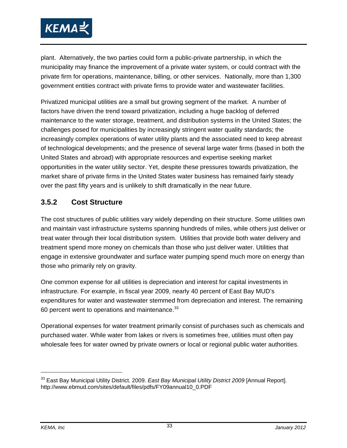

plant. Alternatively, the two parties could form a public-private partnership, in which the municipality may finance the improvement of a private water system, or could contract with the private firm for operations, maintenance, billing, or other services. Nationally, more than 1,300 government entities contract with private firms to provide water and wastewater facilities.

Privatized municipal utilities are a small but growing segment of the market. A number of factors have driven the trend toward privatization, including a huge backlog of deferred maintenance to the water storage, treatment, and distribution systems in the United States; the challenges posed for municipalities by increasingly stringent water quality standards; the increasingly complex operations of water utility plants and the associated need to keep abreast of technological developments; and the presence of several large water firms (based in both the United States and abroad) with appropriate resources and expertise seeking market opportunities in the water utility sector. Yet, despite these pressures towards privatization, the market share of private firms in the United States water business has remained fairly steady over the past fifty years and is unlikely to shift dramatically in the near future.

#### **3.5.2 Cost Structure**

The cost structures of public utilities vary widely depending on their structure. Some utilities own and maintain vast infrastructure systems spanning hundreds of miles, while others just deliver or treat water through their local distribution system. Utilities that provide both water delivery and treatment spend more money on chemicals than those who just deliver water. Utilities that engage in extensive groundwater and surface water pumping spend much more on energy than those who primarily rely on gravity.

One common expense for all utilities is depreciation and interest for capital investments in infrastructure. For example, in fiscal year 2009, nearly 40 percent of East Bay MUD's expenditures for water and wastewater stemmed from depreciation and interest. The remaining 60 percent went to operations and maintenance.<sup>33</sup>

Operational expenses for water treatment primarily consist of purchases such as chemicals and purchased water. While water from lakes or rivers is sometimes free, utilities must often pay wholesale fees for water owned by private owners or local or regional public water authorities.

<sup>33</sup> East Bay Municipal Utility District. 2009. *East Bay Municipal Utility District 2009* [Annual Report]. http://www.ebmud.com/sites/default/files/pdfs/FY09annual10\_0.PDF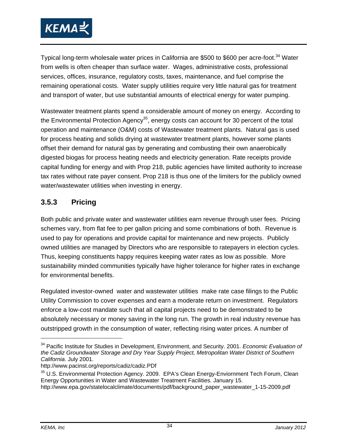

Typical long-term wholesale water prices in California are \$500 to \$600 per acre-foot.<sup>34</sup> Water from wells is often cheaper than surface water. Wages, administrative costs, professional services, offices, insurance, regulatory costs, taxes, maintenance, and fuel comprise the remaining operational costs. Water supply utilities require very little natural gas for treatment and transport of water, but use substantial amounts of electrical energy for water pumping.

Wastewater treatment plants spend a considerable amount of money on energy. According to the Environmental Protection Agency<sup>35</sup>, energy costs can account for 30 percent of the total operation and maintenance (O&M) costs of Wastewater treatment plants. Natural gas is used for process heating and solids drying at wastewater treatment plants, however some plants offset their demand for natural gas by generating and combusting their own anaerobically digested biogas for process heating needs and electricity generation. Rate receipts provide capital funding for energy and with Prop 218, public agencies have limited authority to increase tax rates without rate payer consent. Prop 218 is thus one of the limiters for the publicly owned water/wastewater utilities when investing in energy.

#### **3.5.3 Pricing**

Both public and private water and wastewater utilities earn revenue through user fees. Pricing schemes vary, from flat fee to per gallon pricing and some combinations of both. Revenue is used to pay for operations and provide capital for maintenance and new projects. Publicly owned utilities are managed by Directors who are responsible to ratepayers in election cycles. Thus, keeping constituents happy requires keeping water rates as low as possible. More sustainability minded communities typically have higher tolerance for higher rates in exchange for environmental benefits.

Regulated investor-owned water and wastewater utilities make rate case filings to the Public Utility Commission to cover expenses and earn a moderate return on investment. Regulators enforce a low-cost mandate such that all capital projects need to be demonstrated to be absolutely necessary or money saving in the long run. The growth in real industry revenue has outstripped growth in the consumption of water, reflecting rising water prices. A number of

<sup>34</sup> Pacific Institute for Studies in Development, Environment, and Security. 2001. *Economic Evaluation of the Cadiz Groundwater Storage and Dry Year Supply Project, Metropolitan Water District of Southern California*. July 2001.

http://www.pacinst.org/reports/cadiz/cadiz.PDf

<sup>&</sup>lt;sup>35</sup> U.S. Environmental Protection Agency. 2009. EPA's Clean Energy-Enviornment Tech Forum, Clean Energy Opportunities in Water and Wastewater Treatment Facilities. January 15. http://www.epa.gov/statelocalclimate/documents/pdf/background\_paper\_wastewater\_1-15-2009.pdf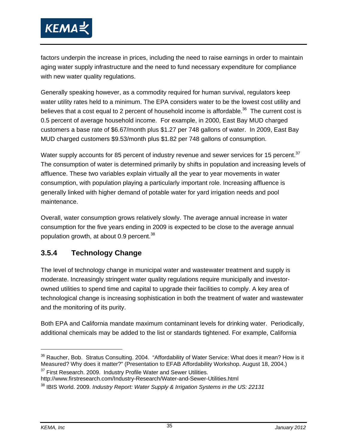

factors underpin the increase in prices, including the need to raise earnings in order to maintain aging water supply infrastructure and the need to fund necessary expenditure for compliance with new water quality regulations.

Generally speaking however, as a commodity required for human survival, regulators keep water utility rates held to a minimum. The EPA considers water to be the lowest cost utility and believes that a cost equal to 2 percent of household income is affordable.<sup>36</sup> The current cost is 0.5 percent of average household income. For example, in 2000, East Bay MUD charged customers a base rate of \$6.67/month plus \$1.27 per 748 gallons of water. In 2009, East Bay MUD charged customers \$9.53/month plus \$1.82 per 748 gallons of consumption.

Water supply accounts for 85 percent of industry revenue and sewer services for 15 percent.<sup>37</sup> The consumption of water is determined primarily by shifts in population and increasing levels of affluence. These two variables explain virtually all the year to year movements in water consumption, with population playing a particularly important role. Increasing affluence is generally linked with higher demand of potable water for yard irrigation needs and pool maintenance.

Overall, water consumption grows relatively slowly. The average annual increase in water consumption for the five years ending in 2009 is expected to be close to the average annual population growth, at about 0.9 percent.<sup>38</sup>

#### **3.5.4 Technology Change**

The level of technology change in municipal water and wastewater treatment and supply is moderate. Increasingly stringent water quality regulations require municipally and investorowned utilities to spend time and capital to upgrade their facilities to comply. A key area of technological change is increasing sophistication in both the treatment of water and wastewater and the monitoring of its purity.

Both EPA and California mandate maximum contaminant levels for drinking water. Periodically, additional chemicals may be added to the list or standards tightened. For example, California

<sup>&</sup>lt;sup>36</sup> Raucher, Bob. Stratus Consulting. 2004. "Affordability of Water Service: What does it mean? How is it Measured? Why does it matter?" (Presentation to EFAB Affordability Workshop. August 18, 2004.)  $37$  First Research. 2009. Industry Profile Water and Sewer Utilities.

http://www.firstresearch.com/Industry-Research/Water-and-Sewer-Utilities.html

<sup>38</sup> IBIS World. 2009. *Industry Report: Water Supply & Irrigation Systems in the US: 22131*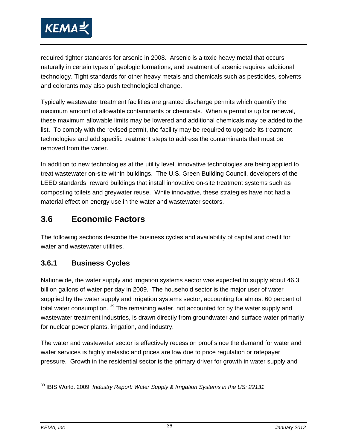

required tighter standards for arsenic in 2008. Arsenic is a toxic heavy metal that occurs naturally in certain types of geologic formations, and treatment of arsenic requires additional technology. Tight standards for other heavy metals and chemicals such as pesticides, solvents and colorants may also push technological change.

Typically wastewater treatment facilities are granted discharge permits which quantify the maximum amount of allowable contaminants or chemicals. When a permit is up for renewal, these maximum allowable limits may be lowered and additional chemicals may be added to the list. To comply with the revised permit, the facility may be required to upgrade its treatment technologies and add specific treatment steps to address the contaminants that must be removed from the water.

In addition to new technologies at the utility level, innovative technologies are being applied to treat wastewater on-site within buildings. The U.S. Green Building Council, developers of the LEED standards, reward buildings that install innovative on-site treatment systems such as composting toilets and greywater reuse. While innovative, these strategies have not had a material effect on energy use in the water and wastewater sectors.

### **3.6 Economic Factors**

The following sections describe the business cycles and availability of capital and credit for water and wastewater utilities.

#### **3.6.1 Business Cycles**

Nationwide, the water supply and irrigation systems sector was expected to supply about 46.3 billion gallons of water per day in 2009. The household sector is the major user of water supplied by the water supply and irrigation systems sector, accounting for almost 60 percent of total water consumption. <sup>39</sup> The remaining water, not accounted for by the water supply and wastewater treatment industries, is drawn directly from groundwater and surface water primarily for nuclear power plants, irrigation, and industry.

The water and wastewater sector is effectively recession proof since the demand for water and water services is highly inelastic and prices are low due to price regulation or ratepayer pressure. Growth in the residential sector is the primary driver for growth in water supply and

-

<sup>39</sup> IBIS World. 2009. *Industry Report: Water Supply & Irrigation Systems in the US: 22131*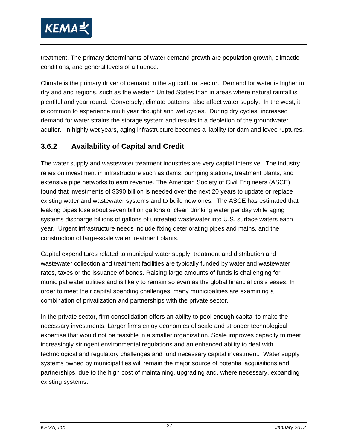

treatment. The primary determinants of water demand growth are population growth, climactic conditions, and general levels of affluence.

Climate is the primary driver of demand in the agricultural sector. Demand for water is higher in dry and arid regions, such as the western United States than in areas where natural rainfall is plentiful and year round. Conversely, climate patterns also affect water supply. In the west, it is common to experience multi year drought and wet cycles. During dry cycles, increased demand for water strains the storage system and results in a depletion of the groundwater aquifer. In highly wet years, aging infrastructure becomes a liability for dam and levee ruptures.

#### **3.6.2 Availability of Capital and Credit**

The water supply and wastewater treatment industries are very capital intensive. The industry relies on investment in infrastructure such as dams, pumping stations, treatment plants, and extensive pipe networks to earn revenue. The American Society of Civil Engineers (ASCE) found that investments of \$390 billion is needed over the next 20 years to update or replace existing water and wastewater systems and to build new ones. The ASCE has estimated that leaking pipes lose about seven billion gallons of clean drinking water per day while aging systems discharge billions of gallons of untreated wastewater into U.S. surface waters each year. Urgent infrastructure needs include fixing deteriorating pipes and mains, and the construction of large-scale water treatment plants.

Capital expenditures related to municipal water supply, treatment and distribution and wastewater collection and treatment facilities are typically funded by water and wastewater rates, taxes or the issuance of bonds. Raising large amounts of funds is challenging for municipal water utilities and is likely to remain so even as the global financial crisis eases. In order to meet their capital spending challenges, many municipalities are examining a combination of privatization and partnerships with the private sector.

In the private sector, firm consolidation offers an ability to pool enough capital to make the necessary investments. Larger firms enjoy economies of scale and stronger technological expertise that would not be feasible in a smaller organization. Scale improves capacity to meet increasingly stringent environmental regulations and an enhanced ability to deal with technological and regulatory challenges and fund necessary capital investment. Water supply systems owned by municipalities will remain the major source of potential acquisitions and partnerships, due to the high cost of maintaining, upgrading and, where necessary, expanding existing systems.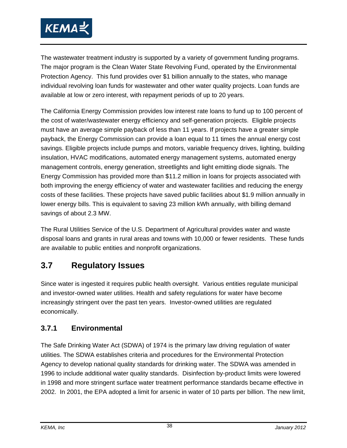

The wastewater treatment industry is supported by a variety of government funding programs. The major program is the Clean Water State Revolving Fund, operated by the Environmental Protection Agency. This fund provides over \$1 billion annually to the states, who manage individual revolving loan funds for wastewater and other water quality projects. Loan funds are available at low or zero interest, with repayment periods of up to 20 years.

The California Energy Commission provides low interest rate loans to fund up to 100 percent of the cost of water/wastewater energy efficiency and self-generation projects. Eligible projects must have an average simple payback of less than 11 years. If projects have a greater simple payback, the Energy Commission can provide a loan equal to 11 times the annual energy cost savings. Eligible projects include pumps and motors, variable frequency drives, lighting, building insulation, HVAC modifications, automated energy management systems, automated energy management controls, energy generation, streetlights and light emitting diode signals. The Energy Commission has provided more than \$11.2 million in loans for projects associated with both improving the energy efficiency of water and wastewater facilities and reducing the energy costs of these facilities. These projects have saved public facilities about \$1.9 million annually in lower energy bills. This is equivalent to saving 23 million kWh annually, with billing demand savings of about 2.3 MW.

The Rural Utilities Service of the U.S. Department of Agricultural provides water and waste disposal loans and grants in rural areas and towns with 10,000 or fewer residents. These funds are available to public entities and nonprofit organizations.

### **3.7 Regulatory Issues**

Since water is ingested it requires public health oversight. Various entities regulate municipal and investor-owned water utilities. Health and safety regulations for water have become increasingly stringent over the past ten years. Investor-owned utilities are regulated economically.

#### **3.7.1 Environmental**

The Safe Drinking Water Act (SDWA) of 1974 is the primary law driving regulation of water utilities. The SDWA establishes criteria and procedures for the Environmental Protection Agency to develop national quality standards for drinking water. The SDWA was amended in 1996 to include additional water quality standards. Disinfection by-product limits were lowered in 1998 and more stringent surface water treatment performance standards became effective in 2002. In 2001, the EPA adopted a limit for arsenic in water of 10 parts per billion. The new limit,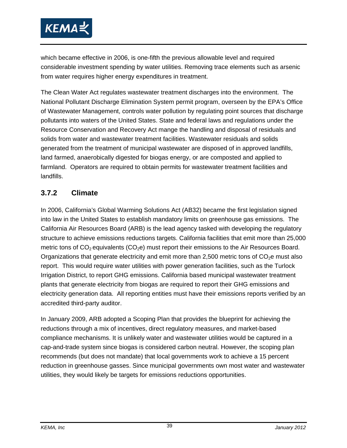

which became effective in 2006, is one-fifth the previous allowable level and required considerable investment spending by water utilities. Removing trace elements such as arsenic from water requires higher energy expenditures in treatment.

The Clean Water Act regulates wastewater treatment discharges into the environment. The National Pollutant Discharge Elimination System permit program, overseen by the EPA's Office of Wastewater Management, controls water pollution by regulating point sources that discharge pollutants into waters of the United States. State and federal laws and regulations under the Resource Conservation and Recovery Act mange the handling and disposal of residuals and solids from water and wastewater treatment facilities. Wastewater residuals and solids generated from the treatment of municipal wastewater are disposed of in approved landfills, land farmed, anaerobically digested for biogas energy, or are composted and applied to farmland. Operators are required to obtain permits for wastewater treatment facilities and landfills.

#### **3.7.2 Climate**

In 2006, California's Global Warming Solutions Act (AB32) became the first legislation signed into law in the United States to establish mandatory limits on greenhouse gas emissions. The California Air Resources Board (ARB) is the lead agency tasked with developing the regulatory structure to achieve emissions reductions targets. California facilities that emit more than 25,000 metric tons of  $CO<sub>2</sub>$  equivalents ( $CO<sub>2</sub>e$ ) must report their emissions to the Air Resources Board. Organizations that generate electricity and emit more than 2,500 metric tons of  $CO<sub>2</sub>e$  must also report. This would require water utilities with power generation facilities, such as the Turlock Irrigation District, to report GHG emissions. California based municipal wastewater treatment plants that generate electricity from biogas are required to report their GHG emissions and electricity generation data. All reporting entities must have their emissions reports verified by an accredited third-party auditor.

In January 2009, ARB adopted a Scoping Plan that provides the blueprint for achieving the reductions through a mix of incentives, direct regulatory measures, and market-based compliance mechanisms. It is unlikely water and wastewater utilities would be captured in a cap-and-trade system since biogas is considered carbon neutral. However, the scoping plan recommends (but does not mandate) that local governments work to achieve a 15 percent reduction in greenhouse gasses. Since municipal governments own most water and wastewater utilities, they would likely be targets for emissions reductions opportunities.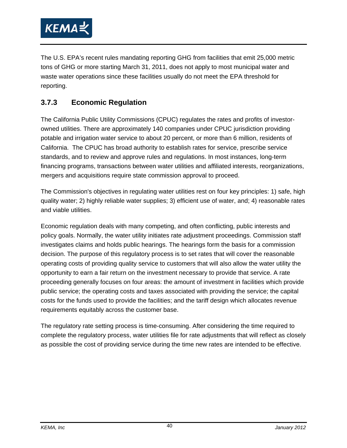

The U.S. EPA's recent rules mandating reporting GHG from facilities that emit 25,000 metric tons of GHG or more starting March 31, 2011, does not apply to most municipal water and waste water operations since these facilities usually do not meet the EPA threshold for reporting.

#### **3.7.3 Economic Regulation**

The California Public Utility Commissions (CPUC) regulates the rates and profits of investorowned utilities. There are approximately 140 companies under CPUC jurisdiction providing potable and irrigation water service to about 20 percent, or more than 6 million, residents of California. The CPUC has broad authority to establish rates for service, prescribe service standards, and to review and approve rules and regulations. In most instances, long-term financing programs, transactions between water utilities and affiliated interests, reorganizations, mergers and acquisitions require state commission approval to proceed.

The Commission's objectives in regulating water utilities rest on four key principles: 1) safe, high quality water; 2) highly reliable water supplies; 3) efficient use of water, and; 4) reasonable rates and viable utilities.

Economic regulation deals with many competing, and often conflicting, public interests and policy goals. Normally, the water utility initiates rate adjustment proceedings. Commission staff investigates claims and holds public hearings. The hearings form the basis for a commission decision. The purpose of this regulatory process is to set rates that will cover the reasonable operating costs of providing quality service to customers that will also allow the water utility the opportunity to earn a fair return on the investment necessary to provide that service. A rate proceeding generally focuses on four areas: the amount of investment in facilities which provide public service; the operating costs and taxes associated with providing the service; the capital costs for the funds used to provide the facilities; and the tariff design which allocates revenue requirements equitably across the customer base.

The regulatory rate setting process is time-consuming. After considering the time required to complete the regulatory process, water utilities file for rate adjustments that will reflect as closely as possible the cost of providing service during the time new rates are intended to be effective.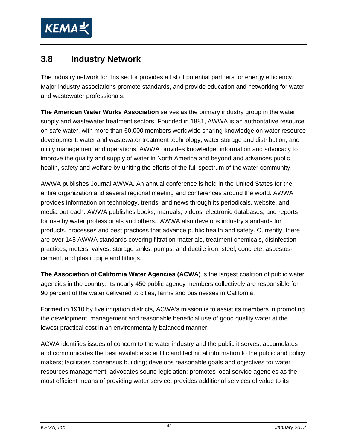

### **3.8 Industry Network**

The industry network for this sector provides a list of potential partners for energy efficiency. Major industry associations promote standards, and provide education and networking for water and wastewater professionals.

**The American Water Works Association** serves as the primary industry group in the water supply and wastewater treatment sectors. Founded in 1881, AWWA is an authoritative resource on safe water, with more than 60,000 members worldwide sharing knowledge on water resource development, water and wastewater treatment technology, water storage and distribution, and utility management and operations. AWWA provides knowledge, information and advocacy to improve the quality and supply of water in North America and beyond and advances public health, safety and welfare by uniting the efforts of the full spectrum of the water community.

AWWA publishes Journal AWWA. An annual conference is held in the United States for the entire organization and several regional meeting and conferences around the world. AWWA provides information on technology, trends, and news through its periodicals, website, and media outreach. AWWA publishes books, manuals, videos, electronic databases, and reports for use by water professionals and others. AWWA also develops industry standards for products, processes and best practices that advance public health and safety. Currently, there are over 145 AWWA standards covering filtration materials, treatment chemicals, disinfection practices, meters, valves, storage tanks, pumps, and ductile iron, steel, concrete, asbestoscement, and plastic pipe and fittings.

**The Association of California Water Agencies (ACWA)** is the largest coalition of public water agencies in the country. Its nearly 450 public agency members collectively are responsible for 90 percent of the water delivered to cities, farms and businesses in California.

Formed in 1910 by five irrigation districts, ACWA's mission is to assist its members in promoting the development, management and reasonable beneficial use of good quality water at the lowest practical cost in an environmentally balanced manner.

ACWA identifies issues of concern to the water industry and the public it serves; accumulates and communicates the best available scientific and technical information to the public and policy makers; facilitates consensus building; develops reasonable goals and objectives for water resources management; advocates sound legislation; promotes local service agencies as the most efficient means of providing water service; provides additional services of value to its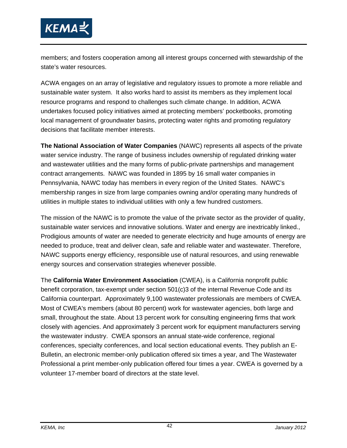

members; and fosters cooperation among all interest groups concerned with stewardship of the state's water resources.

ACWA engages on an array of legislative and regulatory issues to promote a more reliable and sustainable water system. It also works hard to assist its members as they implement local resource programs and respond to challenges such climate change. In addition, ACWA undertakes focused policy initiatives aimed at protecting members' pocketbooks, promoting local management of groundwater basins, protecting water rights and promoting regulatory decisions that facilitate member interests.

**The National Association of Water Companies** (NAWC) represents all aspects of the private water service industry. The range of business includes ownership of regulated drinking water and wastewater utilities and the many forms of public-private partnerships and management contract arrangements. NAWC was founded in 1895 by 16 small water companies in Pennsylvania, NAWC today has members in every region of the United States. NAWC's membership ranges in size from large companies owning and/or operating many hundreds of utilities in multiple states to individual utilities with only a few hundred customers.

The mission of the NAWC is to promote the value of the private sector as the provider of quality, sustainable water services and innovative solutions. Water and energy are inextricably linked., Prodigious amounts of water are needed to generate electricity and huge amounts of energy are needed to produce, treat and deliver clean, safe and reliable water and wastewater. Therefore, NAWC supports energy efficiency, responsible use of natural resources, and using renewable energy sources and conservation strategies whenever possible.

The **California Water Environment Association** (CWEA), is a California nonprofit public benefit corporation, tax-exempt under section 501(c)3 of the internal Revenue Code and its California counterpart. Approximately 9,100 wastewater professionals are members of CWEA. Most of CWEA's members (about 80 percent) work for wastewater agencies, both large and small, throughout the state. About 13 percent work for consulting engineering firms that work closely with agencies. And approximately 3 percent work for equipment manufacturers serving the wastewater industry. CWEA sponsors an annual state-wide conference, regional conferences, specialty conferences, and local section educational events. They publish an E-Bulletin, an electronic member-only publication offered six times a year, and The Wastewater Professional a print member-only publication offered four times a year. CWEA is governed by a volunteer 17-member board of directors at the state level.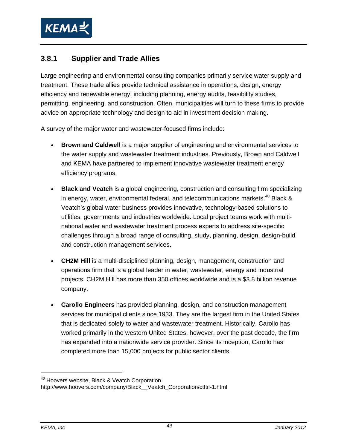

#### **3.8.1 Supplier and Trade Allies**

Large engineering and environmental consulting companies primarily service water supply and treatment. These trade allies provide technical assistance in operations, design, energy efficiency and renewable energy, including planning, energy audits, feasibility studies, permitting, engineering, and construction. Often, municipalities will turn to these firms to provide advice on appropriate technology and design to aid in investment decision making.

A survey of the major water and wastewater-focused firms include:

- **Brown and Caldwell** is a major supplier of engineering and environmental services to the water supply and wastewater treatment industries. Previously, Brown and Caldwell and KEMA have partnered to implement innovative wastewater treatment energy efficiency programs.
- **Black and Veatch** is a global engineering, construction and consulting firm specializing in energy, water, environmental federal, and telecommunications markets.<sup>40</sup> Black & Veatch's global water business provides innovative, technology-based solutions to utilities, governments and industries worldwide. Local project teams work with multinational water and wastewater treatment process experts to address site-specific challenges through a broad range of consulting, study, planning, design, design-build and construction management services.
- **CH2M Hill** is a multi-disciplined planning, design, management, construction and operations firm that is a global leader in water, wastewater, energy and industrial projects. CH2M Hill has more than 350 offices worldwide and is a \$3.8 billion revenue company.
- **Carollo Engineers** has provided planning, design, and construction management services for municipal clients since 1933. They are the largest firm in the United States that is dedicated solely to water and wastewater treatment. Historically, Carollo has worked primarily in the western United States, however, over the past decade, the firm has expanded into a nationwide service provider. Since its inception, Carollo has completed more than 15,000 projects for public sector clients.

-

<sup>&</sup>lt;sup>40</sup> Hoovers website, Black & Veatch Corporation.

http://www.hoovers.com/company/Black\_\_Veatch\_Corporation/ctftif-1.html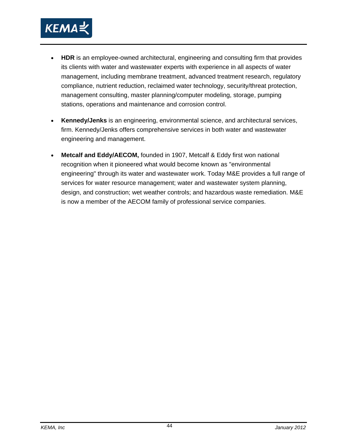

- **HDR** is an employee-owned architectural, engineering and consulting firm that provides its clients with water and wastewater experts with experience in all aspects of water management, including membrane treatment, advanced treatment research, regulatory compliance, nutrient reduction, reclaimed water technology, security/threat protection, management consulting, master planning/computer modeling, storage, pumping stations, operations and maintenance and corrosion control.
- **Kennedy/Jenks** is an engineering, environmental science, and architectural services, firm. Kennedy/Jenks offers comprehensive services in both water and wastewater engineering and management.
- **Metcalf and Eddy/AECOM,** founded in 1907, Metcalf & Eddy first won national recognition when it pioneered what would become known as "environmental engineering" through its water and wastewater work. Today M&E provides a full range of services for water resource management; water and wastewater system planning, design, and construction; wet weather controls; and hazardous waste remediation. M&E is now a member of the AECOM family of professional service companies.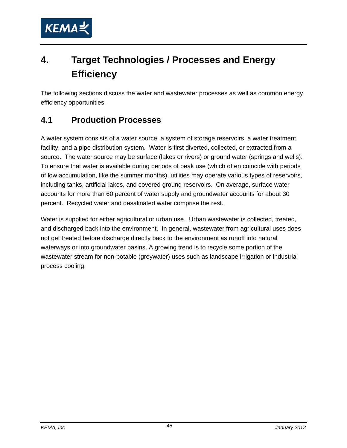

# **4. Target Technologies / Processes and Energy Efficiency**

The following sections discuss the water and wastewater processes as well as common energy efficiency opportunities.

### **4.1 Production Processes**

A water system consists of a water source, a system of storage reservoirs, a water treatment facility, and a pipe distribution system. Water is first diverted, collected, or extracted from a source. The water source may be surface (lakes or rivers) or ground water (springs and wells). To ensure that water is available during periods of peak use (which often coincide with periods of low accumulation, like the summer months), utilities may operate various types of reservoirs, including tanks, artificial lakes, and covered ground reservoirs. On average, surface water accounts for more than 60 percent of water supply and groundwater accounts for about 30 percent. Recycled water and desalinated water comprise the rest.

Water is supplied for either agricultural or urban use. Urban wastewater is collected, treated, and discharged back into the environment. In general, wastewater from agricultural uses does not get treated before discharge directly back to the environment as runoff into natural waterways or into groundwater basins. A growing trend is to recycle some portion of the wastewater stream for non-potable (greywater) uses such as landscape irrigation or industrial process cooling.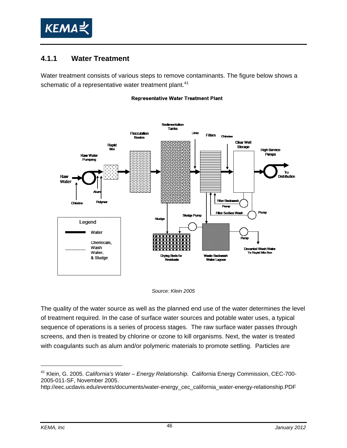

#### **4.1.1 Water Treatment**

Water treatment consists of various steps to remove contaminants. The figure below shows a schematic of a representative water treatment plant.<sup>41</sup>

#### **Representative Water Treatment Plant**



#### *Source: Klein 2005*

The quality of the water source as well as the planned end use of the water determines the level of treatment required. In the case of surface water sources and potable water uses, a typical sequence of operations is a series of process stages. The raw surface water passes through screens, and then is treated by chlorine or ozone to kill organisms. Next, the water is treated with coagulants such as alum and/or polymeric materials to promote settling. Particles are

<sup>41</sup> Klein, G. 2005. *California's Water – Energy Relationship.* California Energy Commission, CEC-700- 2005-011-SF, November 2005.

http://eec.ucdavis.edu/events/documents/water-energy\_cec\_california\_water-energy-relationship.PDF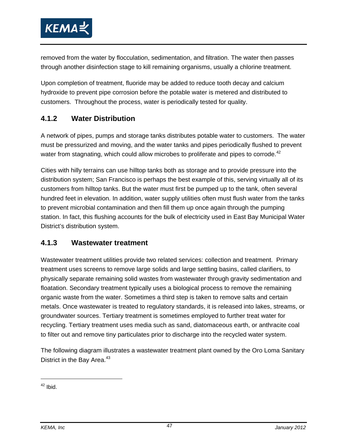

removed from the water by flocculation, sedimentation, and filtration. The water then passes through another disinfection stage to kill remaining organisms, usually a chlorine treatment.

Upon completion of treatment, fluoride may be added to reduce tooth decay and calcium hydroxide to prevent pipe corrosion before the potable water is metered and distributed to customers. Throughout the process, water is periodically tested for quality.

#### **4.1.2 Water Distribution**

A network of pipes, pumps and storage tanks distributes potable water to customers. The water must be pressurized and moving, and the water tanks and pipes periodically flushed to prevent water from stagnating, which could allow microbes to proliferate and pipes to corrode.<sup>42</sup>

Cities with hilly terrains can use hilltop tanks both as storage and to provide pressure into the distribution system; San Francisco is perhaps the best example of this, serving virtually all of its customers from hilltop tanks. But the water must first be pumped up to the tank, often several hundred feet in elevation. In addition, water supply utilities often must flush water from the tanks to prevent microbial contamination and then fill them up once again through the pumping station. In fact, this flushing accounts for the bulk of electricity used in East Bay Municipal Water District's distribution system.

#### **4.1.3 Wastewater treatment**

Wastewater treatment utilities provide two related services: collection and treatment. Primary treatment uses screens to remove large solids and large settling basins, called clarifiers, to physically separate remaining solid wastes from wastewater through gravity sedimentation and floatation. Secondary treatment typically uses a biological process to remove the remaining organic waste from the water. Sometimes a third step is taken to remove salts and certain metals. Once wastewater is treated to regulatory standards, it is released into lakes, streams, or groundwater sources. Tertiary treatment is sometimes employed to further treat water for recycling. Tertiary treatment uses media such as sand, diatomaceous earth, or anthracite coal to filter out and remove tiny particulates prior to discharge into the recycled water system.

The following diagram illustrates a wastewater treatment plant owned by the Oro Loma Sanitary District in the Bay Area. $43$ 

 $42$  Ibid.

 $\overline{a}$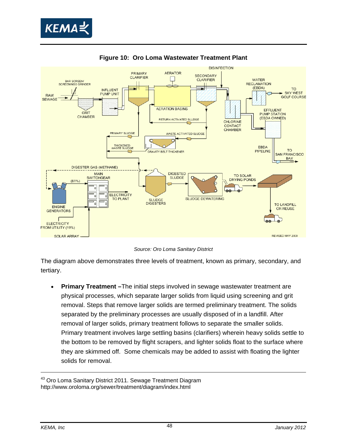



**Figure 10: Oro Loma Wastewater Treatment Plant** 

*Source: Oro Loma Sanitary District* 

The diagram above demonstrates three levels of treatment, known as primary, secondary, and tertiary.

• **Primary Treatment –**The initial steps involved in sewage wastewater treatment are physical processes, which separate larger solids from liquid using screening and grit removal. Steps that remove larger solids are termed preliminary treatment. The solids separated by the preliminary processes are usually disposed of in a landfill. After removal of larger solids, primary treatment follows to separate the smaller solids. Primary treatment involves large settling basins (clarifiers) wherein heavy solids settle to the bottom to be removed by flight scrapers, and lighter solids float to the surface where they are skimmed off. Some chemicals may be added to assist with floating the lighter solids for removal.

<sup>&</sup>lt;sup>43</sup> Oro Loma Sanitary District 2011. Sewage Treatment Diagram http://www.oroloma.org/sewer/treatment/diagram/index.html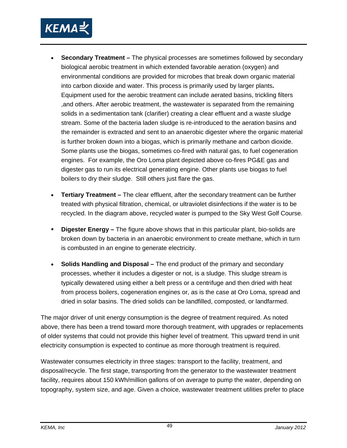

- **Secondary Treatment** The physical processes are sometimes followed by secondary biological aerobic treatment in which extended favorable aeration (oxygen) and environmental conditions are provided for microbes that break down organic material into carbon dioxide and water. This process is primarily used by larger plants**.**  Equipment used for the aerobic treatment can include aerated basins, trickling filters ,and others. After aerobic treatment, the wastewater is separated from the remaining solids in a sedimentation tank (clarifier) creating a clear effluent and a waste sludge stream. Some of the bacteria laden sludge is re-introduced to the aeration basins and the remainder is extracted and sent to an anaerobic digester where the organic material is further broken down into a biogas, which is primarily methane and carbon dioxide. Some plants use the biogas, sometimes co-fired with natural gas, to fuel cogeneration engines. For example, the Oro Loma plant depicted above co-fires PG&E gas and digester gas to run its electrical generating engine. Other plants use biogas to fuel boilers to dry their sludge. Still others just flare the gas.
- **Tertiary Treatment –** The clear effluent, after the secondary treatment can be further treated with physical filtration, chemical, or ultraviolet disinfections if the water is to be recycled. In the diagram above, recycled water is pumped to the Sky West Golf Course.
- **Digester Energy –** The figure above shows that in this particular plant, bio-solids are broken down by bacteria in an anaerobic environment to create methane, which in turn is combusted in an engine to generate electricity.
- **Solids Handling and Disposal** The end product of the primary and secondary processes, whether it includes a digester or not, is a sludge. This sludge stream is typically dewatered using either a belt press or a centrifuge and then dried with heat from process boilers, cogeneration engines or, as is the case at Oro Loma, spread and dried in solar basins. The dried solids can be landfilled, composted, or landfarmed.

The major driver of unit energy consumption is the degree of treatment required. As noted above, there has been a trend toward more thorough treatment, with upgrades or replacements of older systems that could not provide this higher level of treatment. This upward trend in unit electricity consumption is expected to continue as more thorough treatment is required.

Wastewater consumes electricity in three stages: transport to the facility, treatment, and disposal/recycle. The first stage, transporting from the generator to the wastewater treatment facility, requires about 150 kWh/million gallons of on average to pump the water, depending on topography, system size, and age. Given a choice, wastewater treatment utilities prefer to place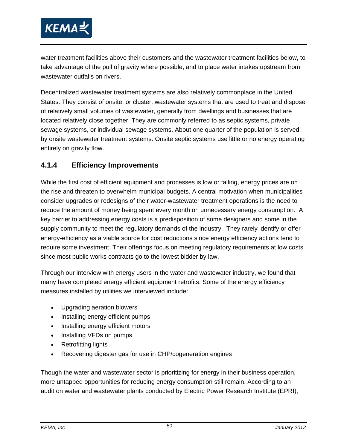

water treatment facilities above their customers and the wastewater treatment facilities below, to take advantage of the pull of gravity where possible, and to place water intakes upstream from wastewater outfalls on rivers.

Decentralized wastewater treatment systems are also relatively commonplace in the United States. They consist of onsite, or cluster, wastewater systems that are used to treat and dispose of relatively small volumes of wastewater, generally from dwellings and businesses that are located relatively close together. They are commonly referred to as septic systems, private sewage systems, or individual sewage systems. About one quarter of the population is served by onsite wastewater treatment systems. Onsite septic systems use little or no energy operating entirely on gravity flow.

#### **4.1.4 Efficiency Improvements**

While the first cost of efficient equipment and processes is low or falling, energy prices are on the rise and threaten to overwhelm municipal budgets. A central motivation when municipalities consider upgrades or redesigns of their water-wastewater treatment operations is the need to reduce the amount of money being spent every month on unnecessary energy consumption. A key barrier to addressing energy costs is a predisposition of some designers and some in the supply community to meet the regulatory demands of the industry. They rarely identify or offer energy-efficiency as a viable source for cost reductions since energy efficiency actions tend to require some investment. Their offerings focus on meeting regulatory requirements at low costs since most public works contracts go to the lowest bidder by law.

Through our interview with energy users in the water and wastewater industry, we found that many have completed energy efficient equipment retrofits. Some of the energy efficiency measures installed by utilities we interviewed include:

- Upgrading aeration blowers
- Installing energy efficient pumps
- Installing energy efficient motors
- Installing VFDs on pumps
- Retrofitting lights
- Recovering digester gas for use in CHP/cogeneration engines

Though the water and wastewater sector is prioritizing for energy in their business operation, more untapped opportunities for reducing energy consumption still remain. According to an audit on water and wastewater plants conducted by Electric Power Research Institute (EPRI),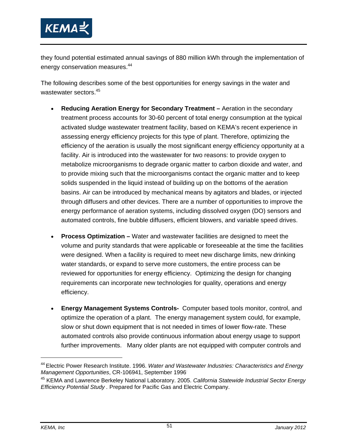

they found potential estimated annual savings of 880 million kWh through the implementation of energy conservation measures.<sup>44</sup>

The following describes some of the best opportunities for energy savings in the water and wastewater sectors.<sup>45</sup>

- **Reducing Aeration Energy for Secondary Treatment** Aeration in the secondary treatment process accounts for 30-60 percent of total energy consumption at the typical activated sludge wastewater treatment facility, based on KEMA's recent experience in assessing energy efficiency projects for this type of plant. Therefore, optimizing the efficiency of the aeration is usually the most significant energy efficiency opportunity at a facility. Air is introduced into the wastewater for two reasons: to provide oxygen to metabolize microorganisms to degrade organic matter to carbon dioxide and water, and to provide mixing such that the microorganisms contact the organic matter and to keep solids suspended in the liquid instead of building up on the bottoms of the aeration basins. Air can be introduced by mechanical means by agitators and blades, or injected through diffusers and other devices. There are a number of opportunities to improve the energy performance of aeration systems, including dissolved oxygen (DO) sensors and automated controls, fine bubble diffusers, efficient blowers, and variable speed drives.
- **Process Optimization** Water and wastewater facilities are designed to meet the volume and purity standards that were applicable or foreseeable at the time the facilities were designed. When a facility is required to meet new discharge limits, new drinking water standards, or expand to serve more customers, the entire process can be reviewed for opportunities for energy efficiency. Optimizing the design for changing requirements can incorporate new technologies for quality, operations and energy efficiency.
- **Energy Management Systems Controls-** Computer based tools monitor, control, and optimize the operation of a plant. The energy management system could, for example, slow or shut down equipment that is not needed in times of lower flow-rate. These automated controls also provide continuous information about energy usage to support further improvements. Many older plants are not equipped with computer controls and

-

<sup>44</sup> Electric Power Research Institute. 1996. *Water and Wastewater Industries: Characteristics and Energy Management Opportunities*, CR-106941, September 1996.

<sup>45</sup> KEMA and Lawrence Berkeley National Laboratory. 2005. *California Statewide Industrial Sector Energy Efficiency Potential Study .* Prepared for Pacific Gas and Electric Company.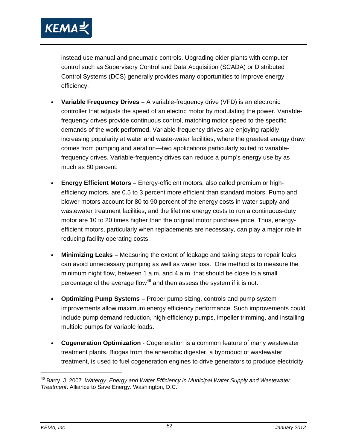

instead use manual and pneumatic controls. Upgrading older plants with computer control such as Supervisory Control and Data Acquisition (SCADA) or Distributed Control Systems (DCS) generally provides many opportunities to improve energy efficiency.

- **Variable Frequency Drives** A variable-frequency drive (VFD) is an electronic controller that adjusts the speed of an electric motor by modulating the power. Variablefrequency drives provide continuous control, matching motor speed to the specific demands of the work performed. Variable-frequency drives are enjoying rapidly increasing popularity at water and waste-water facilities, where the greatest energy draw comes from pumping and aeration—two applications particularly suited to variablefrequency drives. Variable-frequency drives can reduce a pump's energy use by as much as 80 percent.
- **Energy Efficient Motors** Energy-efficient motors, also called premium or highefficiency motors, are 0.5 to 3 percent more efficient than standard motors. Pump and blower motors account for 80 to 90 percent of the energy costs in water supply and wastewater treatment facilities, and the lifetime energy costs to run a continuous-duty motor are 10 to 20 times higher than the original motor purchase price. Thus, energyefficient motors, particularly when replacements are necessary, can play a major role in reducing facility operating costs.
- **Minimizing Leaks –** Measuring the extent of leakage and taking steps to repair leaks can avoid unnecessary pumping as well as water loss. One method is to measure the minimum night flow, between 1 a.m. and 4 a.m. that should be close to a small percentage of the average flow $46$  and then assess the system if it is not.
- **Optimizing Pump Systems** Proper pump sizing, controls and pump system improvements allow maximum energy efficiency performance. Such improvements could include pump demand reduction, high-efficiency pumps, impeller trimming, and installing multiple pumps for variable loads**.**
- **Cogeneration Optimization** Cogeneration is a common feature of many wastewater treatment plants. Biogas from the anaerobic digester, a byproduct of wastewater treatment, is used to fuel cogeneration engines to drive generators to produce electricity

-

<sup>46</sup> Barry, J. 2007. *Watergy: Energy and Water Efficiency in Municipal Water Supply and Wastewater Treatment*. Alliance to Save Energy. Washington, D.C.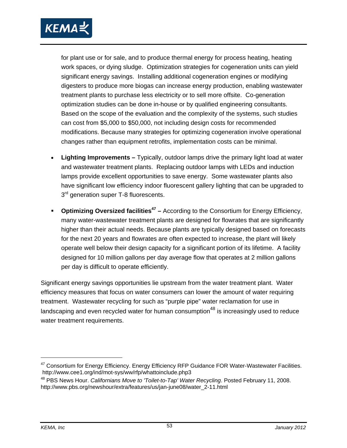

for plant use or for sale, and to produce thermal energy for process heating, heating work spaces, or dying sludge. Optimization strategies for cogeneration units can yield significant energy savings. Installing additional cogeneration engines or modifying digesters to produce more biogas can increase energy production, enabling wastewater treatment plants to purchase less electricity or to sell more offsite. Co-generation optimization studies can be done in-house or by qualified engineering consultants. Based on the scope of the evaluation and the complexity of the systems, such studies can cost from \$5,000 to \$50,000, not including design costs for recommended modifications. Because many strategies for optimizing cogeneration involve operational changes rather than equipment retrofits, implementation costs can be minimal.

- **Lighting Improvements** Typically, outdoor lamps drive the primary light load at water and wastewater treatment plants. Replacing outdoor lamps with LEDs and induction lamps provide excellent opportunities to save energy. Some wastewater plants also have significant low efficiency indoor fluorescent gallery lighting that can be upgraded to  $3<sup>rd</sup>$  generation super T-8 fluorescents.
- **Optimizing Oversized facilities<sup>47</sup> –** According to the Consortium for Energy Efficiency, many water-wastewater treatment plants are designed for flowrates that are significantly higher than their actual needs. Because plants are typically designed based on forecasts for the next 20 years and flowrates are often expected to increase, the plant will likely operate well below their design capacity for a significant portion of its lifetime. A facility designed for 10 million gallons per day average flow that operates at 2 million gallons per day is difficult to operate efficiently.

Significant energy savings opportunities lie upstream from the water treatment plant. Water efficiency measures that focus on water consumers can lower the amount of water requiring treatment. Wastewater recycling for such as "purple pipe" water reclamation for use in landscaping and even recycled water for human consumption<sup>48</sup> is increasingly used to reduce water treatment requirements.

<sup>&</sup>lt;sup>47</sup> Consortium for Energy Efficiency. Energy Efficiency RFP Guidance FOR Water-Wastewater Facilities. http://www.cee1.org/ind/mot-sys/ww/rfp/whattoinclude.php3

<sup>48</sup> PBS News Hour. *Californians Move to 'Toilet-to-Tap' Water Recycling*. Posted February 11, 2008. http://www.pbs.org/newshour/extra/features/us/jan-june08/water\_2-11.html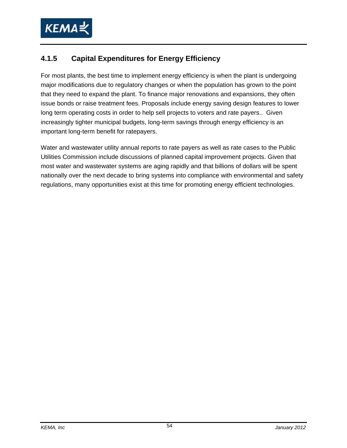

### **4.1.5 Capital Expenditures for Energy Efficiency**

For most plants, the best time to implement energy efficiency is when the plant is undergoing major modifications due to regulatory changes or when the population has grown to the point that they need to expand the plant. To finance major renovations and expansions, they often issue bonds or raise treatment fees. Proposals include energy saving design features to lower long term operating costs in order to help sell projects to voters and rate payers.. Given increasingly tighter municipal budgets, long-term savings through energy efficiency is an important long-term benefit for ratepayers.

Water and wastewater utility annual reports to rate payers as well as rate cases to the Public Utilities Commission include discussions of planned capital improvement projects. Given that most water and wastewater systems are aging rapidly and that billions of dollars will be spent nationally over the next decade to bring systems into compliance with environmental and safety regulations, many opportunities exist at this time for promoting energy efficient technologies.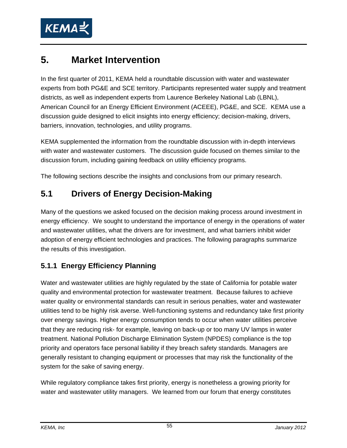

## **5. Market Intervention**

In the first quarter of 2011, KEMA held a roundtable discussion with water and wastewater experts from both PG&E and SCE territory. Participants represented water supply and treatment districts, as well as independent experts from Laurence Berkeley National Lab (LBNL), American Council for an Energy Efficient Environment (ACEEE), PG&E, and SCE. KEMA use a discussion guide designed to elicit insights into energy efficiency; decision-making, drivers, barriers, innovation, technologies, and utility programs.

KEMA supplemented the information from the roundtable discussion with in-depth interviews with water and wastewater customers. The discussion guide focused on themes similar to the discussion forum, including gaining feedback on utility efficiency programs.

The following sections describe the insights and conclusions from our primary research.

### **5.1 Drivers of Energy Decision-Making**

Many of the questions we asked focused on the decision making process around investment in energy efficiency. We sought to understand the importance of energy in the operations of water and wastewater utilities, what the drivers are for investment, and what barriers inhibit wider adoption of energy efficient technologies and practices. The following paragraphs summarize the results of this investigation.

### **5.1.1 Energy Efficiency Planning**

Water and wastewater utilities are highly regulated by the state of California for potable water quality and environmental protection for wastewater treatment. Because failures to achieve water quality or environmental standards can result in serious penalties, water and wastewater utilities tend to be highly risk averse. Well-functioning systems and redundancy take first priority over energy savings. Higher energy consumption tends to occur when water utilities perceive that they are reducing risk- for example, leaving on back-up or too many UV lamps in water treatment. National Pollution Discharge Elimination System (NPDES) compliance is the top priority and operators face personal liability if they breach safety standards. Managers are generally resistant to changing equipment or processes that may risk the functionality of the system for the sake of saving energy.

While regulatory compliance takes first priority, energy is nonetheless a growing priority for water and wastewater utility managers. We learned from our forum that energy constitutes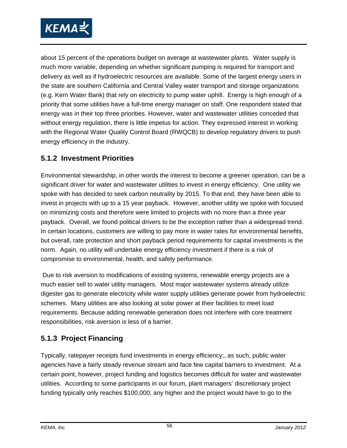

about 15 percent of the operations budget on average at wastewater plants. Water supply is much more variable, depending on whether significant pumping is required for transport and delivery as well as if hydroelectric resources are available. Some of the largest energy users in the state are southern California and Central Valley water transport and storage organizations (e.g. Kern Water Bank) that rely on electricity to pump water uphill. Energy is high enough of a priority that some utilities have a full-time energy manager on staff. One respondent stated that energy was in their top three priorities. However, water and wastewater utilities conceded that without energy regulation, there is little impetus for action. They expressed interest in working with the Regional Water Quality Control Board (RWQCB) to develop regulatory drivers to push energy efficiency in the industry.

#### **5.1.2 Investment Priorities**

Environmental stewardship, in other words the interest to become a greener operation, can be a significant driver for water and wastewater utilities to invest in energy efficiency. One utility we spoke with has decided to seek carbon neutrality by 2015. To that end, they have been able to invest in projects with up to a 15 year payback. However, another utility we spoke with focused on minimizing costs and therefore were limited to projects with no more than a three year payback. Overall, we found political drivers to be the exception rather than a widespread trend. In certain locations, customers are willing to pay more in water rates for environmental benefits, but overall, rate protection and short payback period requirements for capital investments is the norm. Again, no utility will undertake energy efficiency investment if there is a risk of compromise to environmental, health, and safety performance.

 Due to risk aversion to modifications of existing systems, renewable energy projects are a much easier sell to water utility managers. Most major wastewater systems already utilize digester gas to generate electricity while water supply utilities generate power from hydroelectric schemes. Many utilities are also looking at solar power at their facilities to meet load requirements. Because adding renewable generation does not interfere with core treatment responsibilities, risk aversion is less of a barrier.

#### **5.1.3 Project Financing**

Typically, ratepayer receipts fund investments in energy efficiency;, as such, public water agencies have a fairly steady revenue stream and face few capital barriers to investment. At a certain point, however, project funding and logistics becomes difficult for water and wastewater utilities. According to some participants in our forum, plant managers' discretionary project funding typically only reaches \$100,000; any higher and the project would have to go to the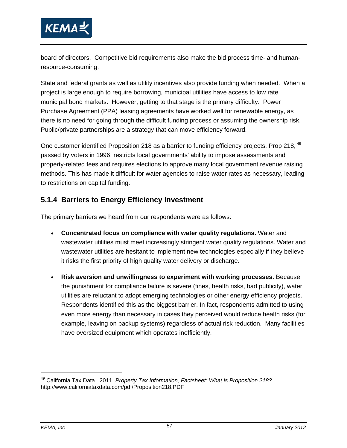

board of directors. Competitive bid requirements also make the bid process time- and humanresource-consuming.

State and federal grants as well as utility incentives also provide funding when needed. When a project is large enough to require borrowing, municipal utilities have access to low rate municipal bond markets. However, getting to that stage is the primary difficulty. Power Purchase Agreement (PPA) leasing agreements have worked well for renewable energy, as there is no need for going through the difficult funding process or assuming the ownership risk. Public/private partnerships are a strategy that can move efficiency forward.

One customer identified Proposition 218 as a barrier to funding efficiency projects. Prop 218, <sup>49</sup> passed by voters in 1996, restricts local governments' ability to impose assessments and property-related fees and requires elections to approve many local government revenue raising methods. This has made it difficult for water agencies to raise water rates as necessary, leading to restrictions on capital funding.

#### **5.1.4 Barriers to Energy Efficiency Investment**

The primary barriers we heard from our respondents were as follows:

- **Concentrated focus on compliance with water quality regulations.** Water and wastewater utilities must meet increasingly stringent water quality regulations. Water and wastewater utilities are hesitant to implement new technologies especially if they believe it risks the first priority of high quality water delivery or discharge.
- **Risk aversion and unwillingness to experiment with working processes.** Because the punishment for compliance failure is severe (fines, health risks, bad publicity), water utilities are reluctant to adopt emerging technologies or other energy efficiency projects. Respondents identified this as the biggest barrier. In fact, respondents admitted to using even more energy than necessary in cases they perceived would reduce health risks (for example, leaving on backup systems) regardless of actual risk reduction. Many facilities have oversized equipment which operates inefficiently.

-

<sup>49</sup> California Tax Data. 2011. *Property Tax Information, Factsheet: What is Proposition 218?* http://www.californiataxdata.com/pdf/Proposition218.PDF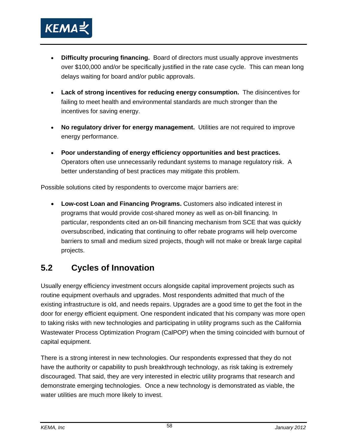

- **Difficulty procuring financing.** Board of directors must usually approve investments over \$100,000 and/or be specifically justified in the rate case cycle. This can mean long delays waiting for board and/or public approvals.
- **Lack of strong incentives for reducing energy consumption.** The disincentives for failing to meet health and environmental standards are much stronger than the incentives for saving energy.
- **No regulatory driver for energy management.** Utilities are not required to improve energy performance.
- **Poor understanding of energy efficiency opportunities and best practices.** Operators often use unnecessarily redundant systems to manage regulatory risk. A better understanding of best practices may mitigate this problem.

Possible solutions cited by respondents to overcome major barriers are:

• **Low-cost Loan and Financing Programs.** Customers also indicated interest in programs that would provide cost-shared money as well as on-bill financing. In particular, respondents cited an on-bill financing mechanism from SCE that was quickly oversubscribed, indicating that continuing to offer rebate programs will help overcome barriers to small and medium sized projects, though will not make or break large capital projects.

### **5.2 Cycles of Innovation**

Usually energy efficiency investment occurs alongside capital improvement projects such as routine equipment overhauls and upgrades. Most respondents admitted that much of the existing infrastructure is old, and needs repairs. Upgrades are a good time to get the foot in the door for energy efficient equipment. One respondent indicated that his company was more open to taking risks with new technologies and participating in utility programs such as the California Wastewater Process Optimization Program (CalPOP) when the timing coincided with burnout of capital equipment.

There is a strong interest in new technologies. Our respondents expressed that they do not have the authority or capability to push breakthrough technology, as risk taking is extremely discouraged. That said, they are very interested in electric utility programs that research and demonstrate emerging technologies. Once a new technology is demonstrated as viable, the water utilities are much more likely to invest.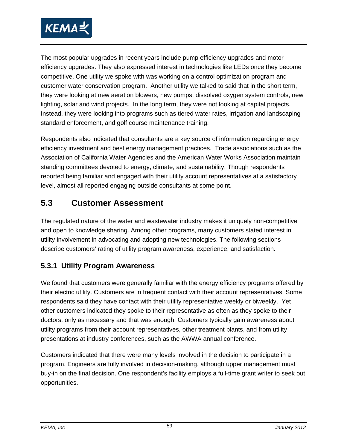

The most popular upgrades in recent years include pump efficiency upgrades and motor efficiency upgrades. They also expressed interest in technologies like LEDs once they become competitive. One utility we spoke with was working on a control optimization program and customer water conservation program. Another utility we talked to said that in the short term, they were looking at new aeration blowers, new pumps, dissolved oxygen system controls, new lighting, solar and wind projects. In the long term, they were not looking at capital projects. Instead, they were looking into programs such as tiered water rates, irrigation and landscaping standard enforcement, and golf course maintenance training.

Respondents also indicated that consultants are a key source of information regarding energy efficiency investment and best energy management practices. Trade associations such as the Association of California Water Agencies and the American Water Works Association maintain standing committees devoted to energy, climate, and sustainability. Though respondents reported being familiar and engaged with their utility account representatives at a satisfactory level, almost all reported engaging outside consultants at some point.

### **5.3 Customer Assessment**

The regulated nature of the water and wastewater industry makes it uniquely non-competitive and open to knowledge sharing. Among other programs, many customers stated interest in utility involvement in advocating and adopting new technologies. The following sections describe customers' rating of utility program awareness, experience, and satisfaction.

#### **5.3.1 Utility Program Awareness**

We found that customers were generally familiar with the energy efficiency programs offered by their electric utility. Customers are in frequent contact with their account representatives. Some respondents said they have contact with their utility representative weekly or biweekly. Yet other customers indicated they spoke to their representative as often as they spoke to their doctors, only as necessary and that was enough. Customers typically gain awareness about utility programs from their account representatives, other treatment plants, and from utility presentations at industry conferences, such as the AWWA annual conference.

Customers indicated that there were many levels involved in the decision to participate in a program. Engineers are fully involved in decision-making, although upper management must buy-in on the final decision. One respondent's facility employs a full-time grant writer to seek out opportunities.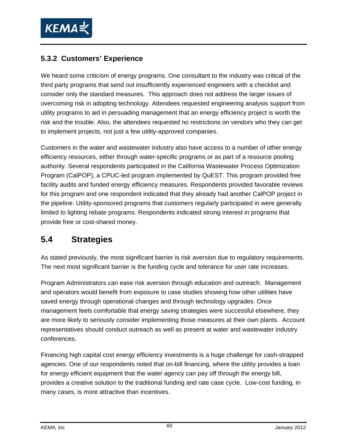

#### **5.3.2 Customers' Experience**

We heard some criticism of energy programs. One consultant to the industry was critical of the third party programs that send out insufficiently experienced engineers with a checklist and consider only the standard measures. This approach does not address the larger issues of overcoming risk in adopting technology. Attendees requested engineering analysis support from utility programs to aid in persuading management that an energy efficiency project is worth the risk and the trouble. Also, the attendees requested no restrictions on vendors who they can get to implement projects, not just a few utility-approved companies.

Customers in the water and wastewater industry also have access to a number of other energy efficiency resources, either through water-specific programs or as part of a resource pooling authority. Several respondents participated in the California Wastewater Process Optimization Program (CalPOP), a CPUC-led program implemented by QuEST. This program provided free facility audits and funded energy efficiency measures. Respondents provided favorable reviews for this program and one respondent indicated that they already had another CalPOP project in the pipeline. Utility-sponsored programs that customers regularly participated in were generally limited to lighting rebate programs. Respondents indicated strong interest in programs that provide free or cost-shared money.

### **5.4 Strategies**

As stated previously, the most significant barrier is risk aversion due to regulatory requirements. The next most significant barrier is the funding cycle and tolerance for user rate increases.

Program Administrators can ease risk aversion through education and outreach. Management and operators would benefit from exposure to case studies showing how other utilities have saved energy through operational changes and through technology upgrades. Once management feels comfortable that energy saving strategies were successful elsewhere, they are more likely to seriously consider implementing those measures at their own plants. Account representatives should conduct outreach as well as present at water and wastewater industry conferences.

Financing high capital cost energy efficiency investments is a huge challenge for cash-strapped agencies. One of our respondents noted that on-bill financing, where the utility provides a loan for energy efficient equipment that the water agency can pay off through the energy bill, provides a creative solution to the traditional funding and rate case cycle. Low-cost funding, in many cases, is more attractive than incentives.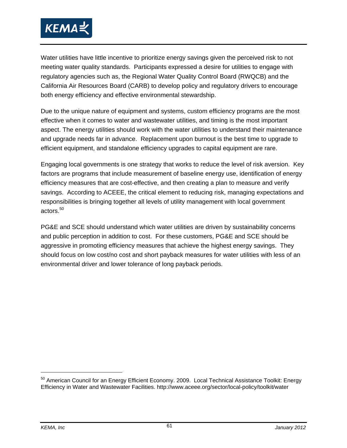

Water utilities have little incentive to prioritize energy savings given the perceived risk to not meeting water quality standards. Participants expressed a desire for utilities to engage with regulatory agencies such as, the Regional Water Quality Control Board (RWQCB) and the California Air Resources Board (CARB) to develop policy and regulatory drivers to encourage both energy efficiency and effective environmental stewardship.

Due to the unique nature of equipment and systems, custom efficiency programs are the most effective when it comes to water and wastewater utilities, and timing is the most important aspect. The energy utilities should work with the water utilities to understand their maintenance and upgrade needs far in advance. Replacement upon burnout is the best time to upgrade to efficient equipment, and standalone efficiency upgrades to capital equipment are rare.

Engaging local governments is one strategy that works to reduce the level of risk aversion. Key factors are programs that include measurement of baseline energy use, identification of energy efficiency measures that are cost-effective, and then creating a plan to measure and verify savings. According to ACEEE, the critical element to reducing risk, managing expectations and responsibilities is bringing together all levels of utility management with local government actors.50

PG&E and SCE should understand which water utilities are driven by sustainability concerns and public perception in addition to cost. For these customers, PG&E and SCE should be aggressive in promoting efficiency measures that achieve the highest energy savings. They should focus on low cost/no cost and short payback measures for water utilities with less of an environmental driver and lower tolerance of long payback periods.

<sup>&</sup>lt;sup>50</sup> American Council for an Energy Efficient Economy. 2009. Local Technical Assistance Toolkit: Energy Efficiency in Water and Wastewater Facilities. http://www.aceee.org/sector/local-policy/toolkit/water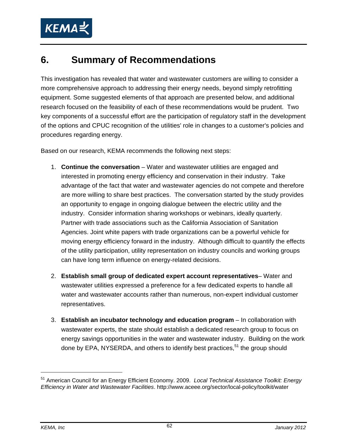

## **6. Summary of Recommendations**

This investigation has revealed that water and wastewater customers are willing to consider a more comprehensive approach to addressing their energy needs, beyond simply retrofitting equipment. Some suggested elements of that approach are presented below, and additional research focused on the feasibility of each of these recommendations would be prudent. Two key components of a successful effort are the participation of regulatory staff in the development of the options and CPUC recognition of the utilities' role in changes to a customer's policies and procedures regarding energy.

Based on our research, KEMA recommends the following next steps:

- 1. **Continue the conversation** Water and wastewater utilities are engaged and interested in promoting energy efficiency and conservation in their industry. Take advantage of the fact that water and wastewater agencies do not compete and therefore are more willing to share best practices. The conversation started by the study provides an opportunity to engage in ongoing dialogue between the electric utility and the industry. Consider information sharing workshops or webinars, ideally quarterly. Partner with trade associations such as the California Association of Sanitation Agencies. Joint white papers with trade organizations can be a powerful vehicle for moving energy efficiency forward in the industry. Although difficult to quantify the effects of the utility participation, utility representation on industry councils and working groups can have long term influence on energy-related decisions.
- 2. **Establish small group of dedicated expert account representatives** Water and wastewater utilities expressed a preference for a few dedicated experts to handle all water and wastewater accounts rather than numerous, non-expert individual customer representatives.
- 3. **Establish an incubator technology and education program** In collaboration with wastewater experts, the state should establish a dedicated research group to focus on energy savings opportunities in the water and wastewater industry. Building on the work done by EPA, NYSERDA, and others to identify best practices,  $51$  the group should

<sup>51</sup> American Council for an Energy Efficient Economy. 2009. *Local Technical Assistance Toolkit: Energy Efficiency in Water and Wastewater Facilities*. http://www.aceee.org/sector/local-policy/toolkit/water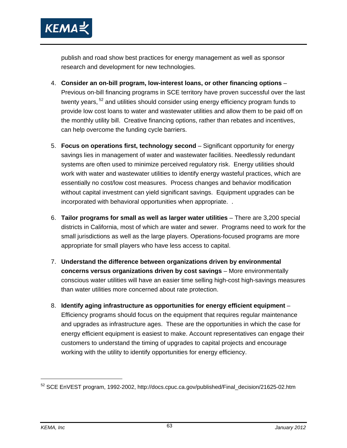

publish and road show best practices for energy management as well as sponsor research and development for new technologies.

- 4. **Consider an on-bill program, low-interest loans, or other financing options**  Previous on-bill financing programs in SCE territory have proven successful over the last twenty years, <sup>52</sup> and utilities should consider using energy efficiency program funds to provide low cost loans to water and wastewater utilities and allow them to be paid off on the monthly utility bill. Creative financing options, rather than rebates and incentives, can help overcome the funding cycle barriers.
- 5. **Focus on operations first, technology second** Significant opportunity for energy savings lies in management of water and wastewater facilities. Needlessly redundant systems are often used to minimize perceived regulatory risk. Energy utilities should work with water and wastewater utilities to identify energy wasteful practices, which are essentially no cost/low cost measures. Process changes and behavior modification without capital investment can yield significant savings. Equipment upgrades can be incorporated with behavioral opportunities when appropriate. .
- 6. **Tailor programs for small as well as larger water utilities** There are 3,200 special districts in California, most of which are water and sewer. Programs need to work for the small jurisdictions as well as the large players. Operations-focused programs are more appropriate for small players who have less access to capital.
- 7. **Understand the difference between organizations driven by environmental concerns versus organizations driven by cost savings** – More environmentally conscious water utilities will have an easier time selling high-cost high-savings measures than water utilities more concerned about rate protection.
- 8. **Identify aging infrastructure as opportunities for energy efficient equipment** Efficiency programs should focus on the equipment that requires regular maintenance and upgrades as infrastructure ages. These are the opportunities in which the case for energy efficient equipment is easiest to make. Account representatives can engage their customers to understand the timing of upgrades to capital projects and encourage working with the utility to identify opportunities for energy efficiency.

-

<sup>52</sup> SCE EnVEST program, 1992-2002, http://docs.cpuc.ca.gov/published/Final\_decision/21625-02.htm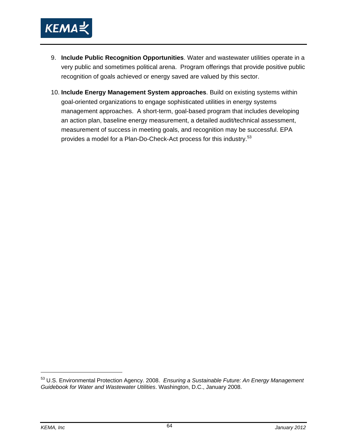

- 9. **Include Public Recognition Opportunities**. Water and wastewater utilities operate in a very public and sometimes political arena. Program offerings that provide positive public recognition of goals achieved or energy saved are valued by this sector.
- 10. **Include Energy Management System approaches**. Build on existing systems within goal-oriented organizations to engage sophisticated utilities in energy systems management approaches. A short-term, goal-based program that includes developing an action plan, baseline energy measurement, a detailed audit/technical assessment, measurement of success in meeting goals, and recognition may be successful. EPA provides a model for a Plan-Do-Check-Act process for this industry.<sup>53</sup>

<sup>53</sup> U.S. Environmental Protection Agency. 2008. *Ensuring a Sustainable Future: An Energy Management Guidebook for Water and Wastewater Utilities*. Washington, D.C., January 2008.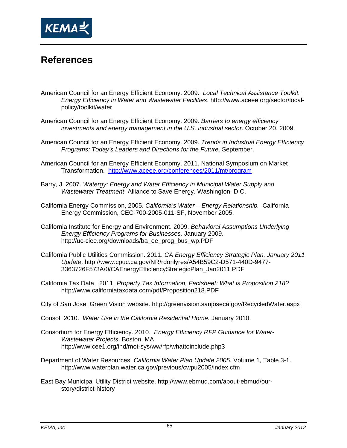

### **References**

- American Council for an Energy Efficient Economy. 2009. *Local Technical Assistance Toolkit: Energy Efficiency in Water and Wastewater Facilities*. http://www.aceee.org/sector/localpolicy/toolkit/water
- American Council for an Energy Efficient Economy. 2009. *Barriers to energy efficiency investments and energy management in the U.S. industrial sector*. October 20, 2009.
- American Council for an Energy Efficient Economy. 2009. *Trends in Industrial Energy Efficiency Programs: Today's Leaders and Directions for the Future*. September.
- American Council for an Energy Efficient Economy. 2011. National Symposium on Market Transformation. http://www.aceee.org/conferences/2011/mt/program
- Barry, J. 2007. *Watergy: Energy and Water Efficiency in Municipal Water Supply and Wastewater Treatment*. Alliance to Save Energy. Washington, D.C.
- California Energy Commission, 2005. *California's Water Energy Relationship.* California Energy Commission, CEC-700-2005-011-SF, November 2005.
- California Institute for Energy and Environment. 2009. *Behavioral Assumptions Underlying Energy Efficiency Programs for Businesses.* January 2009. http://uc-ciee.org/downloads/ba\_ee\_prog\_bus\_wp.PDF
- California Public Utilities Commission. 2011. *CA Energy Efficiency Strategic Plan, January 2011 Update*. http://www.cpuc.ca.gov/NR/rdonlyres/A54B59C2-D571-440D-9477- 3363726F573A/0/CAEnergyEfficiencyStrategicPlan\_Jan2011.PDF
- California Tax Data. 2011. *Property Tax Information, Factsheet: What is Proposition 218?* http://www.californiataxdata.com/pdf/Proposition218.PDF
- City of San Jose, Green Vision website. http://greenvision.sanjoseca.gov/RecycledWater.aspx
- Consol. 2010. *Water Use in the California Residential Home.* January 2010.
- Consortium for Energy Efficiency. 2010. *Energy Efficiency RFP Guidance for Water-Wastewater Projects*. Boston, MA http://www.cee1.org/ind/mot-sys/ww/rfp/whattoinclude.php3
- Department of Water Resources, *California Water Plan Update 2005.* Volume 1, Table 3-1. http://www.waterplan.water.ca.gov/previous/cwpu2005/index.cfm
- East Bay Municipal Utility District website. http://www.ebmud.com/about-ebmud/ourstory/district-history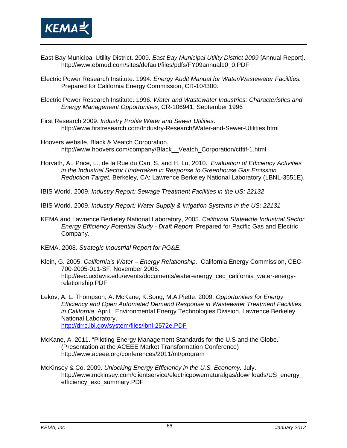

- East Bay Municipal Utility District. 2009. *East Bay Municipal Utility District 2009* [Annual Report]. http://www.ebmud.com/sites/default/files/pdfs/FY09annual10\_0.PDF
- Electric Power Research Institute. 1994. *Energy Audit Manual for Water/Wastewater Facilities.* Prepared for California Energy Commission, CR-104300.
- Electric Power Research Institute. 1996. *Water and Wastewater Industries: Characteristics and Energy Management Opportunities*, CR-106941, September 1996.
- First Research 2009. *Industry Profile Water and Sewer Utilities*. http://www.firstresearch.com/Industry-Research/Water-and-Sewer-Utilities.html
- Hoovers website, Black & Veatch Corporation. http://www.hoovers.com/company/Black\_\_Veatch\_Corporation/ctftif-1.html
- Horvath, A., Price, L., de la Rue du Can, S. and H. Lu, 2010. *Evaluation of Efficiency Activities in the Industrial Sector Undertaken in Response to Greenhouse Gas Emission Reduction Target.* Berkeley, CA: Lawrence Berkeley National Laboratory (LBNL-3551E).
- IBIS World. 2009. *Industry Report: Sewage Treatment Facilities in the US: 22132*
- IBIS World. 2009. *Industry Report: Water Supply & Irrigation Systems in the US: 22131*
- KEMA and Lawrence Berkeley National Laboratory, 2005. *California Statewide Industrial Sector Energy Efficiency Potential Study - Draft Report.* Prepared for Pacific Gas and Electric Company.
- KEMA. 2008. *Strategic Industrial Report for PG&E.*
- Klein, G. 2005. *California's Water Energy Relationship.* California Energy Commission, CEC-700-2005-011-SF, November 2005. http://eec.ucdavis.edu/events/documents/water-energy\_cec\_california\_water-energyrelationship.PDF
- Lekov, A. L. Thompson, A. McKane, K.Song, M.A.Piette. 2009. *Opportunities for Energy Efficiency and Open Automated Demand Response in Wastewater Treatment Facilities in California*. April. Environmental Energy Technologies Division, Lawrence Berkeley National Laboratory. http://drrc.lbl.gov/system/files/lbnl-2572e.PDF
- McKane, A. 2011. "Piloting Energy Management Standards for the U.S and the Globe." (Presentation at the ACEEE Market Transformation Conference) http://www.aceee.org/conferences/2011/mt/program
- McKinsey & Co. 2009. *Unlocking Energy Efficiency in the U.S. Economy.* July. http://www.mckinsey.com/clientservice/electricpowernaturalgas/downloads/US\_energy\_ efficiency\_exc\_summary.PDF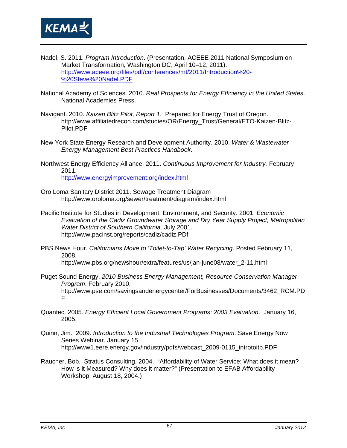

- Nadel, S. 2011. *Program Introduction*. (Presentation, ACEEE 2011 National Symposium on Market Transformation, Washington DC, April 10–12, 2011). http://www.aceee.org/files/pdf/conferences/mt/2011/Introduction%20- %20Steve%20Nadel.PDF
- National Academy of Sciences. 2010. *Real Prospects for Energy Efficiency in the United States*. National Academies Press.
- Navigant. 2010. *Kaizen Blitz Pilot, Report 1*. Prepared for Energy Trust of Oregon. http://www.affiliatedrecon.com/studies/OR/Energy\_Trust/General/ETO-Kaizen-Blitz-Pilot.PDF
- New York State Energy Research and Development Authority. 2010. *Water & Wastewater Energy Management Best Practices Handbook*.
- Northwest Energy Efficiency Alliance. 2011. *Continuous Improvement for Industry.* February 2011. http://www.energyimprovement.org/index.html
- Oro Loma Sanitary District 2011. Sewage Treatment Diagram http://www.oroloma.org/sewer/treatment/diagram/index.html
- Pacific Institute for Studies in Development, Environment, and Security. 2001. *Economic Evaluation of the Cadiz Groundwater Storage and Dry Year Supply Project, Metropolitan Water District of Southern California*. July 2001. http://www.pacinst.org/reports/cadiz/cadiz.PDf
- PBS News Hour. *Californians Move to 'Toilet-to-Tap' Water Recycling*. Posted February 11, 2008. http://www.pbs.org/newshour/extra/features/us/jan-june08/water\_2-11.html
- Puget Sound Energy. *2010 Business Energy Management, Resource Conservation Manager Program*. February 2010. http://www.pse.com/savingsandenergycenter/ForBusinesses/Documents/3462\_RCM.PD F
- Quantec. 2005. *Energy Efficient Local Government Programs: 2003 Evaluation*. January 16, 2005.
- Quinn, Jim. 2009. *Introduction to the Industrial Technologies Program*. Save Energy Now Series Webinar. January 15. http://www1.eere.energy.gov/industry/pdfs/webcast\_2009-0115\_introtoitp.PDF
- Raucher, Bob. Stratus Consulting. 2004. "Affordability of Water Service: What does it mean? How is it Measured? Why does it matter?" (Presentation to EFAB Affordability Workshop. August 18, 2004.)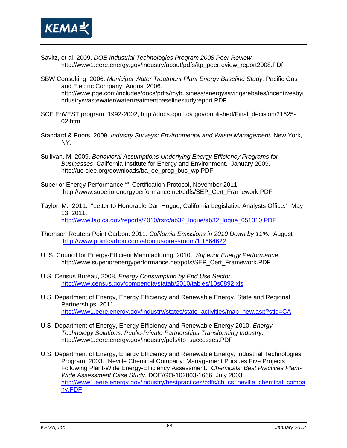

- Savitz, et al. 2009. *DOE Industrial Technologies Program 2008 Peer Review*. http://www1.eere.energy.gov/industry/about/pdfs/itp\_peerreview\_report2008.PDf
- SBW Consulting, 2006. *Municipal Water Treatment Plant Energy Baseline Study.* Pacific Gas and Electric Company, August 2006. http://www.pge.com/includes/docs/pdfs/mybusiness/energysavingsrebates/incentivesbyi ndustry/wastewater/watertreatmentbaselinestudyreport.PDF
- SCE EnVEST program, 1992-2002, http://docs.cpuc.ca.gov/published/Final\_decision/21625- 02.htm
- Standard & Poors. 2009. *Industry Surveys: Environmental and Waste Management.* New York, NY.
- Sullivan, M. 2009. *Behavioral Assumptions Underlying Energy Efficiency Programs for Businesses*. California Institute for Energy and Environment. January 2009. http://uc-ciee.org/downloads/ba\_ee\_prog\_bus\_wp.PDF
- Superior Energy Performance<sup>cm</sup> Certification Protocol, November 2011. http://www.superiorenergyperformance.net/pdfs/SEP\_Cert\_Framework.PDF
- Taylor, M. 2011. "Letter to Honorable Dan Hogue, California Legislative Analysts Office." May 13, 2011. http://www.lao.ca.gov/reports/2010/rsrc/ab32\_logue/ab32\_logue\_051310.PDF
- Thomson Reuters Point Carbon. 2011. *California Emissions in 2010 Down by 11%.* August http://www.pointcarbon.com/aboutus/pressroom/1.1564622
- U. S. Council for Energy-Efficient Manufacturing. 2010. *Superior Energy Performance*. http://www.superiorenergyperformance.net/pdfs/SEP\_Cert\_Framework.PDF
- U.S. Census Bureau, 2008. *Energy Consumption by End Use Sector*. http://www.census.gov/compendia/statab/2010/tables/10s0892.xls
- U.S. Department of Energy, Energy Efficiency and Renewable Energy, State and Regional Partnerships. 2011. http://www1.eere.energy.gov/industry/states/state\_activities/map\_new.asp?stid=CA
- U.S. Department of Energy, Energy Efficiency and Renewable Energy 2010. *Energy Technology Solutions. Public-Private Partnerships Transforming Industry.* http://www1.eere.energy.gov/industry/pdfs/itp\_successes.PDF
- U.S. Department of Energy, Energy Efficiency and Renewable Energy, Industrial Technologies Program. 2003. "Neville Chemical Company: Management Pursues Five Projects Following Plant-Wide Energy-Efficiency Assessment." *Chemicals: Best Practices Plant-Wide Assessment Case Study.* DOE/GO-102003-1666. July 2003. http://www1.eere.energy.gov/industry/bestpractices/pdfs/ch\_cs\_neville\_chemical\_compa ny.PDF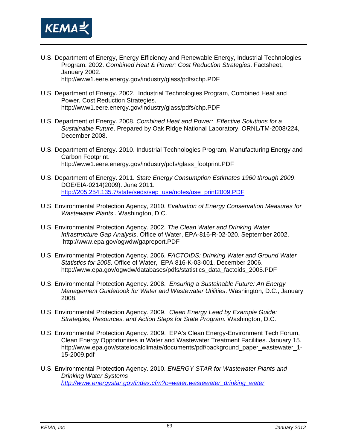

- U.S. Department of Energy, Energy Efficiency and Renewable Energy, Industrial Technologies Program. 2002. *Combined Heat & Power: Cost Reduction Strategies*. Factsheet, January 2002. http://www1.eere.energy.gov/industry/glass/pdfs/chp.PDF
- U.S. Department of Energy. 2002. Industrial Technologies Program, Combined Heat and Power, Cost Reduction Strategies. http://www1.eere.energy.gov/industry/glass/pdfs/chp.PDF
- U.S. Department of Energy. 2008. *Combined Heat and Power: Effective Solutions for a Sustainable Future*. Prepared by Oak Ridge National Laboratory, ORNL/TM-2008/224, December 2008.
- U.S. Department of Energy. 2010. Industrial Technologies Program, Manufacturing Energy and Carbon Footprint. http://www1.eere.energy.gov/industry/pdfs/glass\_footprint.PDF
- U.S. Department of Energy. 2011. *State Energy Consumption Estimates 1960 through 2009*. DOE/EIA-0214(2009). June 2011. http://205.254.135.7/state/seds/sep\_use/notes/use\_print2009.PDF
- U.S. Environmental Protection Agency, 2010. *Evaluation of Energy Conservation Measures for Wastewater Plants .* Washington, D.C.
- U.S. Environmental Protection Agency. 2002. *The Clean Water and Drinking Water Infrastructure Gap Analysis*. Office of Water, EPA-816-R-02-020. September 2002. http://www.epa.gov/ogwdw/gapreport.PDF
- U.S. Environmental Protection Agency. 2006. *FACTOIDS: Drinking Water and Ground Water Statistics for 2005*. Office of Water, EPA 816-K-03-001. December 2006. http://www.epa.gov/ogwdw/databases/pdfs/statistics\_data\_factoids\_2005.PDF
- U.S. Environmental Protection Agency. 2008. *Ensuring a Sustainable Future: An Energy Management Guidebook for Water and Wastewater Utilities*. Washington, D.C., January 2008.
- U.S. Environmental Protection Agency. 2009. *Clean Energy Lead by Example Guide: Strategies, Resources, and Action Steps for State Program.* Washington, D.C.
- U.S. Environmental Protection Agency. 2009. EPA's Clean Energy-Environment Tech Forum, Clean Energy Opportunities in Water and Wastewater Treatment Facilities. January 15. http://www.epa.gov/statelocalclimate/documents/pdf/background\_paper\_wastewater\_1- 15-2009.pdf
- U.S. Environmental Protection Agency. 2010. *ENERGY STAR for Wastewater Plants and Drinking Water Systems http://www.energystar.gov/index.cfm?c=water.wastewater\_drinking\_water*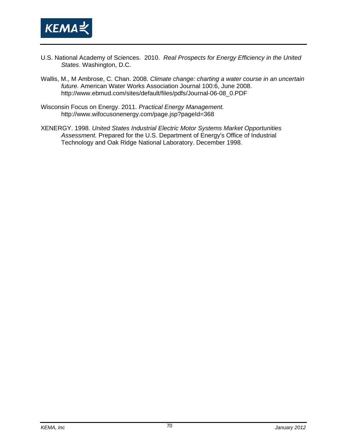

- U.S. National Academy of Sciences. 2010. *Real Prospects for Energy Efficiency in the United States*. Washington, D.C.
- Wallis, M., M Ambrose, C. Chan. 2008. *Climate change: charting a water course in an uncertain future.* American Water Works Association Journal 100:6, June 2008. http://www.ebmud.com/sites/default/files/pdfs/Journal-06-08\_0.PDF
- Wisconsin Focus on Energy. 2011. *Practical Energy Management.* http://www.wifocusonenergy.com/page.jsp?pageId=368
- XENERGY. 1998. *United States Industrial Electric Motor Systems Market Opportunities Assessment.* Prepared for the U.S. Department of Energy's Office of Industrial Technology and Oak Ridge National Laboratory. December 1998.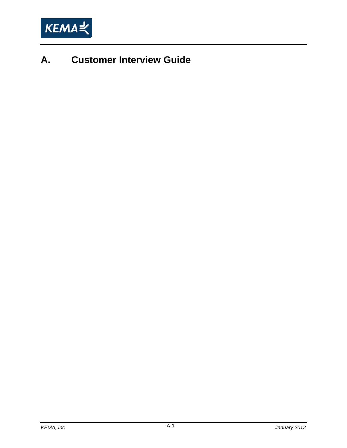

# **A. Customer Interview Guide**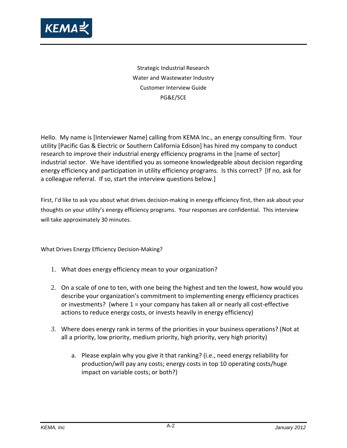

Strategic Industrial Research Water and Wastewater Industry Customer Interview Guide PG&E/SCE

Hello. My name is [Interviewer Name] calling from KEMA Inc., an energy consulting firm. Your utility [Pacific Gas & Electric or Southern California Edison] has hired my company to conduct research to improve their industrial energy efficiency programs in the [name of sector] industrial sector. We have identified you as someone knowledgeable about decision regarding energy efficiency and participation in utility efficiency programs. Is this correct? [If no, ask for a colleague referral. If so, start the interview questions below.]

First, I'd like to ask you about what drives decision-making in energy efficiency first, then ask about your thoughts on your utility's energy efficiency programs. Your responses are confidential. This interview will take approximately 30 minutes.

What Drives Energy Efficiency Decision‐Making?

- 1. What does energy efficiency mean to your organization?
- 2. On a scale of one to ten, with one being the highest and ten the lowest, how would you describe your organization's commitment to implementing energy efficiency practices or investments? (where 1 = your company has taken all or nearly all cost‐effective actions to reduce energy costs, or invests heavily in energy efficiency)
- *3.* Where does energy rank in terms of the priorities in your business operations? (Not at all a priority, low priority, medium priority, high priority, very high priority)
	- a. Please explain why you give it that ranking? (i.e., need energy reliability for production/will pay any costs; energy costs in top 10 operating costs/huge impact on variable costs; or both?)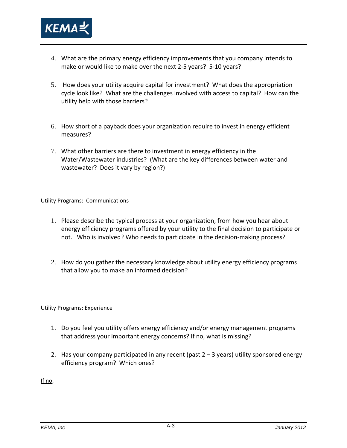

- 4. What are the primary energy efficiency improvements that you company intends to make or would like to make over the next 2‐5 years? 5‐10 years?
- 5. How does your utility acquire capital for investment? What does the appropriation cycle look like? What are the challenges involved with access to capital? How can the utility help with those barriers?
- 6. How short of a payback does your organization require to invest in energy efficient measures?
- 7. What other barriers are there to investment in energy efficiency in the Water/Wastewater industries? (What are the key differences between water and wastewater? Does it vary by region?)

Utility Programs: Communications

- 1. Please describe the typical process at your organization, from how you hear about energy efficiency programs offered by your utility to the final decision to participate or not. Who is involved? Who needs to participate in the decision-making process?
- 2. How do you gather the necessary knowledge about utility energy efficiency programs that allow you to make an informed decision?

Utility Programs: Experience

- 1. Do you feel you utility offers energy efficiency and/or energy management programs that address your important energy concerns? If no, what is missing?
- 2. Has your company participated in any recent (past 2 3 years) utility sponsored energy efficiency program? Which ones?

If no,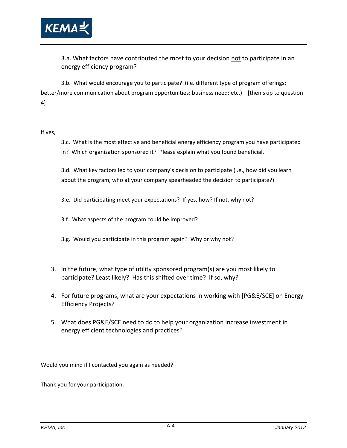

3.a. What factors have contributed the most to your decision not to participate in an energy efficiency program?

3.b. What would encourage you to participate? (i.e. different type of program offerings; better/more communication about program opportunities; business need; etc.) [then skip to question 4]

#### If yes,

3.c. What is the most effective and beneficial energy efficiency program you have participated in? Which organization sponsored it? Please explain what you found beneficial.

3.d. What key factors led to your company's decision to participate (i.e., how did you learn about the program, who at your company spearheaded the decision to participate?)

- 3.e. Did participating meet your expectations? If yes, how? If not, why not?
- 3.f. What aspects of the program could be improved?
- 3.g. Would you participate in this program again? Why or why not?
- 3. In the future, what type of utility sponsored program(s) are you most likely to participate? Least likely? Has this shifted over time? If so, why?
- 4. For future programs, what are your expectations in working with [PG&E/SCE] on Energy Efficiency Projects?
- 5. What does PG&E/SCE need to do to help your organization increase investment in energy efficient technologies and practices?

Would you mind if I contacted you again as needed?

Thank you for your participation.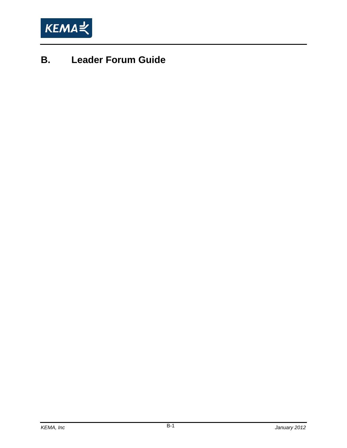

# **B. Leader Forum Guide**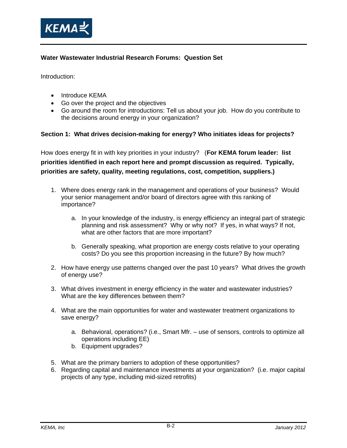

## **Water Wastewater Industrial Research Forums: Question Set**

Introduction:

- Introduce KEMA
- Go over the project and the objectives
- Go around the room for introductions: Tell us about your job. How do you contribute to the decisions around energy in your organization?

#### **Section 1: What drives decision-making for energy? Who initiates ideas for projects?**

How does energy fit in with key priorities in your industry? (**For KEMA forum leader: list priorities identified in each report here and prompt discussion as required. Typically, priorities are safety, quality, meeting regulations, cost, competition, suppliers.)** 

- 1. Where does energy rank in the management and operations of your business? Would your senior management and/or board of directors agree with this ranking of importance?
	- a. In your knowledge of the industry, is energy efficiency an integral part of strategic planning and risk assessment? Why or why not? If yes, in what ways? If not, what are other factors that are more important?
	- b. Generally speaking, what proportion are energy costs relative to your operating costs? Do you see this proportion increasing in the future? By how much?
- 2. How have energy use patterns changed over the past 10 years? What drives the growth of energy use?
- 3. What drives investment in energy efficiency in the water and wastewater industries? What are the key differences between them?
- 4. What are the main opportunities for water and wastewater treatment organizations to save energy?
	- a. Behavioral, operations? (i.e., Smart Mfr. use of sensors, controls to optimize all operations including EE)
	- b. Equipment upgrades?
- 5. What are the primary barriers to adoption of these opportunities?
- 6. Regarding capital and maintenance investments at your organization? (i.e. major capital projects of any type, including mid-sized retrofits)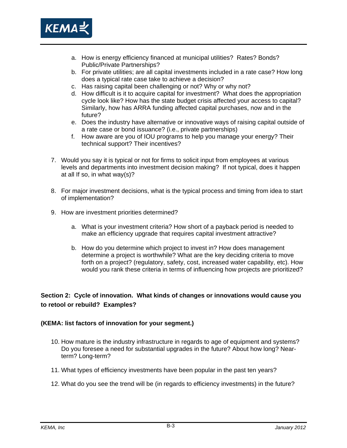

- a. How is energy efficiency financed at municipal utilities? Rates? Bonds? Public/Private Partnerships?
- b. For private utilities; are all capital investments included in a rate case? How long does a typical rate case take to achieve a decision?
- c. Has raising capital been challenging or not? Why or why not?
- d. How difficult is it to acquire capital for investment? What does the appropriation cycle look like? How has the state budget crisis affected your access to capital? Similarly, how has ARRA funding affected capital purchases, now and in the future?
- e. Does the industry have alternative or innovative ways of raising capital outside of a rate case or bond issuance? (i.e., private partnerships)
- f. How aware are you of IOU programs to help you manage your energy? Their technical support? Their incentives?
- 7. Would you say it is typical or not for firms to solicit input from employees at various levels and departments into investment decision making? If not typical, does it happen at all If so, in what way(s)?
- 8. For major investment decisions, what is the typical process and timing from idea to start of implementation?
- 9. How are investment priorities determined?
	- a. What is your investment criteria? How short of a payback period is needed to make an efficiency upgrade that requires capital investment attractive?
	- b. How do you determine which project to invest in? How does management determine a project is worthwhile? What are the key deciding criteria to move forth on a project? (regulatory, safety, cost, increased water capability, etc). How would you rank these criteria in terms of influencing how projects are prioritized?

# **Section 2: Cycle of innovation. What kinds of changes or innovations would cause you to retool or rebuild? Examples?**

### **(KEMA: list factors of innovation for your segment.)**

- 10. How mature is the industry infrastructure in regards to age of equipment and systems? Do you foresee a need for substantial upgrades in the future? About how long? Nearterm? Long-term?
- 11. What types of efficiency investments have been popular in the past ten years?
- 12. What do you see the trend will be (in regards to efficiency investments) in the future?